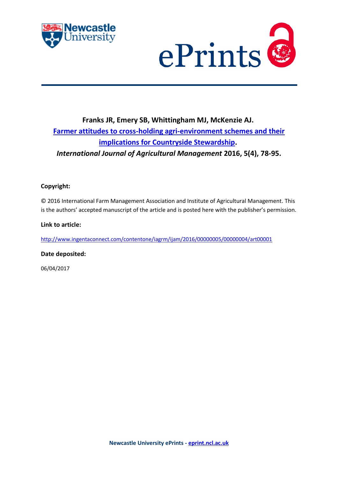



# **Franks JR, Emery SB, Whittingham MJ, McKenzie AJ. [Farmer attitudes to cross-holding agri-environment schemes and their](https://myimpact.ncl.ac.uk/ViewPublication.aspx?id=237195)  [implications for Countryside Stewardship.](https://myimpact.ncl.ac.uk/ViewPublication.aspx?id=237195)** *International Journal of Agricultural Management* **2016, 5(4), 78-95.**

# **Copyright:**

© 2016 International Farm Management Association and Institute of Agricultural Management. This is the authors' accepted manuscript of the article and is posted here with the publisher's permission.

#### **Link to article:**

<http://www.ingentaconnect.com/contentone/iagrm/ijam/2016/00000005/00000004/art00001>

# **Date deposited:**

06/04/2017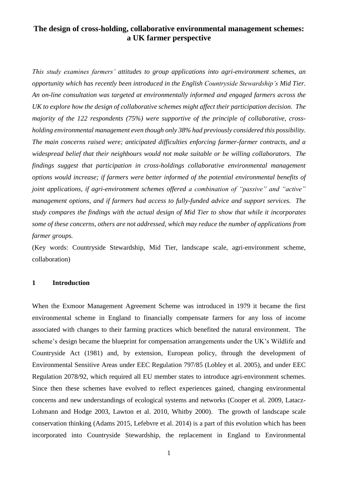# **The design of cross-holding, collaborative environmental management schemes: a UK farmer perspective**

*This study examines farmers' attitudes to group applications into agri-environment schemes, an opportunity which has recently been introduced in the English Countryside Stewardship's Mid Tier. An on-line consultation was targeted at environmentally informed and engaged farmers across the UK to explore how the design of collaborative schemes might affect their participation decision. The majority of the 122 respondents (75%) were supportive of the principle of collaborative, crossholding environmental management even though only 38% had previously considered this possibility. The main concerns raised were; anticipated difficulties enforcing farmer-farmer contracts, and a widespread belief that their neighbours would not make suitable or be willing collaborators. The findings suggest that participation in cross-holdings collaborative environmental management options would increase; if farmers were better informed of the potential environmental benefits of joint applications, if agri-environment schemes offered a combination of "passive" and "active" management options, and if farmers had access to fully-funded advice and support services. The study compares the findings with the actual design of Mid Tier to show that while it incorporates some of these concerns, others are not addressed, which may reduce the number of applications from farmer groups.*

(Key words: Countryside Stewardship, Mid Tier, landscape scale, agri-environment scheme, collaboration)

# **1 Introduction**

When the Exmoor Management Agreement Scheme was introduced in 1979 it became the first environmental scheme in England to financially compensate farmers for any loss of income associated with changes to their farming practices which benefited the natural environment. The scheme's design became the blueprint for compensation arrangements under the UK's Wildlife and Countryside Act (1981) and, by extension, European policy, through the development of Environmental Sensitive Areas under EEC Regulation 797/85 [\(Lobley et al. 2005\)](#page-35-0), and under EEC Regulation 2078/92, which required all EU member states to introduce agri-environment schemes. Since then these schemes have evolved to reflect experiences gained, changing environmental concerns and new understandings of ecological systems and networks [\(Cooper et al. 2009,](#page-33-0) [Latacz-](#page-35-1)[Lohmann and Hodge 2003,](#page-35-1) [Lawton et al. 2010,](#page-35-2) [Whitby 2000\)](#page-38-0). The growth of landscape scale conservation thinking [\(Adams 2015,](#page-33-1) [Lefebvre et al. 2014\)](#page-35-3) is a part of this evolution which has been incorporated into Countryside Stewardship, the replacement in England to Environmental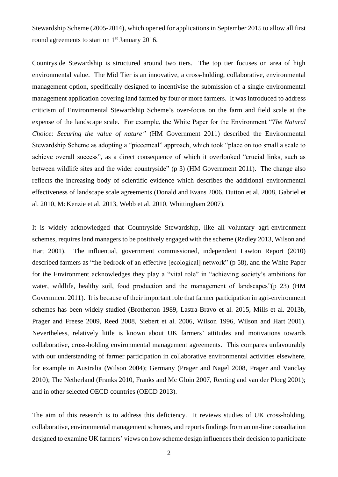Stewardship Scheme (2005-2014), which opened for applications in September 2015 to allow all first round agreements to start on 1<sup>st</sup> January 2016.

Countryside Stewardship is structured around two tiers. The top tier focuses on area of high environmental value. The Mid Tier is an innovative, a cross-holding, collaborative, environmental management option, specifically designed to incentivise the submission of a single environmental management application covering land farmed by four or more farmers. It was introduced to address criticism of Environmental Stewardship Scheme's over-focus on the farm and field scale at the expense of the landscape scale. For example, the White Paper for the Environment "*The Natural Choice: Securing the value of nature"* [\(HM Government 2011\)](#page-35-4) described the Environmental Stewardship Scheme as adopting a "piecemeal" approach, which took "place on too small a scale to achieve overall success", as a direct consequence of which it overlooked "crucial links, such as between wildlife sites and the wider countryside" (p 3) [\(HM Government 2011\)](#page-35-4). The change also reflects the increasing body of scientific evidence which describes the additional environmental effectiveness of landscape scale agreements [\(Donald and Evans 2006,](#page-33-2) [Dutton et al. 2008,](#page-33-3) [Gabriel et](#page-34-0)  [al. 2010,](#page-34-0) [McKenzie et al. 2013,](#page-35-5) [Webb et al. 2010,](#page-38-1) [Whittingham 2007\)](#page-38-2).

It is widely acknowledged that Countryside Stewardship, like all voluntary agri-environment schemes, requires land managers to be positively engaged with the scheme [\(Radley 2013,](#page-37-0) [Wilson and](#page-38-3)  [Hart 2001\)](#page-38-3). The influential, government commissioned, independent Lawton Report [\(2010\)](#page-35-2) described farmers as "the bedrock of an effective [ecological] network" (p 58), and the White Paper for the Environment acknowledges they play a "vital role" in "achieving society's ambitions for water, wildlife, healthy soil, food production and the management of landscapes" (p 23) (HM [Government](#page-35-4) 2011). It is because of their important role that farmer participation in agri-environment schemes has been widely studied [\(Brotherton 1989,](#page-33-4) [Lastra-Bravo et al. 2015,](#page-35-6) [Mills et al. 2013b,](#page-35-7) [Prager and Freese 2009,](#page-37-1) [Reed 2008,](#page-37-2) [Siebert et al. 2006,](#page-38-4) [Wilson 1996,](#page-38-5) [Wilson and Hart 2001\)](#page-38-3). Nevertheless, relatively little is known about UK farmers' attitudes and motivations towards collaborative, cross-holding environmental management agreements. This compares unfavourably with our understanding of farmer participation in collaborative environmental activities elsewhere, for example in Australia [\(Wilson 2004\)](#page-38-6); Germany [\(Prager and Nagel 2008,](#page-37-3) [Prager and Vanclay](#page-37-4)  [2010\)](#page-37-4); The Netherland [\(Franks 2010,](#page-34-1) [Franks and Mc Gloin 2007,](#page-34-2) [Renting and van der Ploeg 2001\)](#page-37-5); and in other selected OECD countries [\(OECD 2013\)](#page-36-0).

The aim of this research is to address this deficiency. It reviews studies of UK cross-holding, collaborative, environmental management schemes, and reports findings from an on-line consultation designed to examine UK farmers' views on how scheme design influences their decision to participate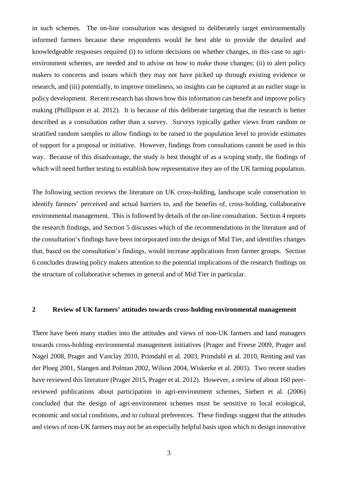in such schemes. The on-line consultation was designed to deliberately target environmentally informed farmers because these respondents would be best able to provide the detailed and knowledgeable responses required (i) to inform decisions on whether changes, in this case to agrienvironment schemes, are needed and to advise on how to make those changes; (ii) to alert policy makers to concerns and issues which they may not have picked up through existing evidence or research, and (iii) potentially, to improve timeliness, so insights can be captured at an earlier stage in policy development. Recent research has shown how this information can benefit and improve policy making [\(Phillipson et al. 2012\)](#page-36-1). It is because of this deliberate targeting that the research is better described as a consultation rather than a survey. Surveys typically gather views from random or stratified random samples to allow findings to be raised to the population level to provide estimates of support for a proposal or initiative. However, findings from consultations cannot be used in this way. Because of this disadvantage, the study is best thought of as a scoping study, the findings of which will need further testing to establish how representative they are of the UK farming population.

The following section reviews the literature on UK cross-holding, landscape scale conservation to identify farmers' perceived and actual barriers to, and the benefits of, cross-holding, collaborative environmental management. This is followed by details of the on-line consultation. Section 4 reports the research findings, and Section 5 discusses which of the recommendations in the literature and of the consultation's findings have been incorporated into the design of Mid Tier, and identifies changes that, based on the consultation's findings, would increase applications from farmer groups. Section 6 concludes drawing policy makers attention to the potential implications of the research findings on the structure of collaborative schemes in general and of Mid Tier in particular.

# **2 Review of UK farmers' attitudes towards cross-holding environmental management**

There have been many studies into the attitudes and views of non-UK farmers and land managers towards cross-holding environmental management initiatives [\(Prager and Freese 2009,](#page-37-1) [Prager and](#page-37-3)  [Nagel 2008,](#page-37-3) [Prager and Vanclay 2010,](#page-37-4) [Primdahl et al. 2003,](#page-37-6) [Primdahl et al. 2010,](#page-37-7) [Renting and van](#page-37-5)  [der Ploeg 2001,](#page-37-5) [Slangen and Polman 2002,](#page-38-7) [Wilson 2004,](#page-38-6) [Wiskerke et al. 2003\)](#page-38-8). Two recent studies have reviewed this literature [\(Prager 2015,](#page-37-8) [Prager et al. 2012\)](#page-37-9). However, a review of about 160 peerreviewed publications about participation in agri-environment schemes, Siebert et al. [\(2006\)](#page-38-4) concluded that the design of agri-environment schemes must be sensitive to local ecological, economic and social conditions, and to cultural preferences. These findings suggest that the attitudes and views of non-UK farmers may not be an especially helpful basis upon which to design innovative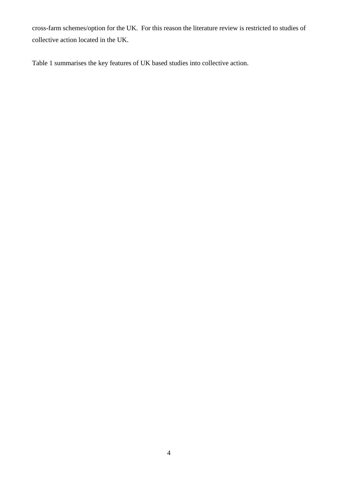cross-farm schemes/option for the UK. For this reason the literature review is restricted to studies of collective action located in the UK.

Table 1 summarises the key features of UK based studies into collective action.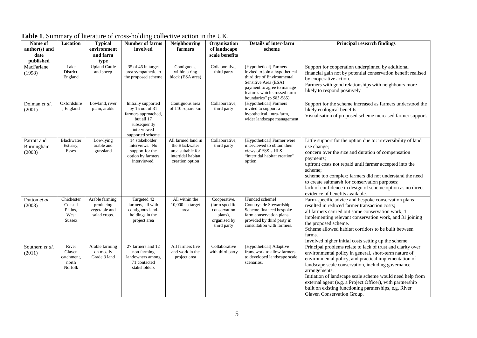| Name of<br>author(s) and<br>date<br>published | Location                                                  | <b>Typical</b><br>environment<br>and farm<br>type             | <b>Number of farms</b><br>involved                                                                                                 | Neighbouring<br>farmers                                                                            | Organisation<br>of landscape<br>scale benefits                                           | <b>Details of inter-farm</b><br>scheme                                                                                                                                                                   | <b>Principal research findings</b>                                                                                                                                                                                                                                                                                                                                                                                                                                     |
|-----------------------------------------------|-----------------------------------------------------------|---------------------------------------------------------------|------------------------------------------------------------------------------------------------------------------------------------|----------------------------------------------------------------------------------------------------|------------------------------------------------------------------------------------------|----------------------------------------------------------------------------------------------------------------------------------------------------------------------------------------------------------|------------------------------------------------------------------------------------------------------------------------------------------------------------------------------------------------------------------------------------------------------------------------------------------------------------------------------------------------------------------------------------------------------------------------------------------------------------------------|
| MacFarlane<br>(1998)                          | Lake<br>District,<br>England                              | <b>Upland Cattle</b><br>and sheep                             | 35 of 46 in target<br>area sympathetic to<br>the proposed scheme                                                                   | Contiguous,<br>within a ring<br>block (ESA area)                                                   | Collaborative,<br>third party                                                            | [Hypothetical] Farmers<br>invited to join a hypothetical<br>third tire of Environmental<br>Sensitive Area (ESA)<br>payment to agree to manage<br>features which crossed farm<br>boundaries" (p 583-585). | Support for cooperation underpinned by additional<br>financial gain not by potential conservation benefit realised<br>by cooperative action.<br>Farmers with good relationships with neighbours more<br>likely to respond positively                                                                                                                                                                                                                                   |
| Dolman et al.<br>(2001)                       | Oxfordshire<br>, England                                  | Lowland, river<br>plain, arable                               | Initially supported<br>by $15$ out of $31$<br>farmers approached,<br>but all 17<br>subsequently<br>interviewed<br>supported scheme | Contiguous area<br>of 110 square km                                                                | Collaborative,<br>third party                                                            | [Hypothetical] Farmers<br>invited to support a<br>hypothetical, intra-farm,<br>wider landscape management                                                                                                | Support for the scheme increased as farmers understood the<br>likely ecological benefits.<br>Visualisation of proposed scheme increased farmer support.                                                                                                                                                                                                                                                                                                                |
| Parrott and<br>Burningham<br>(2008)           | Blackwater<br>Estuary,<br>Essex                           | Low-lying<br>arable and<br>grassland                          | 14 stakeholder<br>interviews. No<br>support for the<br>option by farmers<br>interviewed.                                           | All farmed land in<br>the Blackwater<br>area suitable for<br>intertidal habitat<br>creation option | Collaborative,<br>third party                                                            | [Hypothetical] Farmer were<br>interviewed to obtain their<br>views of ESS's HLS<br>"intertidal habitat creation"<br>option.                                                                              | Little support for the option due to: irreversibility of land<br>use change;<br>concern over the size and duration of compensation<br>payments;<br>upfront costs not repaid until farmer accepted into the<br>scheme:<br>scheme too complex; farmers did not understand the need<br>to create saltmarsh for conservation purposes;<br>lack of confidence in design of scheme option as no direct<br>evidence of benefits available.                                    |
| Dutton et al.<br>(2008)                       | Chichester<br>Coastal<br>Plains,<br>West<br><b>Sussex</b> | Arable farming,<br>producing<br>vegetable and<br>salad crops. | Targeted 42<br>farmers, all with<br>contiguous land-<br>holdings in the<br>project area                                            | All within the<br>10,000 ha target<br>area                                                         | Cooperative,<br>(farm specific<br>conservation<br>plans),<br>organised by<br>third party | [Funded scheme]<br>Countryside Stewardship<br>Scheme financed bespoke<br>farm conservation plans<br>provided by third party in<br>consultation with farmers.                                             | Farm-specific advice and bespoke conservation plans<br>resulted in reduced farmer transaction costs;<br>all farmers carried out some conservation work; 11<br>implementing relevant conservation work, and 31 joining<br>the proposed scheme.<br>Scheme allowed habitat corridors to be built between<br>farms.<br>Involved higher initial costs setting up the scheme                                                                                                 |
| Southern et al.<br>(2011)                     | River<br>Glaven<br>catchment,<br>north<br>Norfolk         | Arable farming<br>on mostly<br>Grade 3 land                   | 27 farmers and 12<br>non farming<br>landowners among<br>71 contacted<br>stakeholders                                               | All farmers live<br>and work in the<br>project area                                                | Collaborative<br>with third party                                                        | [Hypothetical] Adaptive<br>framework to allow farmers<br>to developed landscape scale<br>scenarios.                                                                                                      | Principal problems relate to lack of trust and clarity over<br>environmental policy in general, short-term nature of<br>environmental policy, and practical implementation of<br>landscape scale conservation, including governance<br>arrangements.<br>Initiation of landscape scale scheme would need help from<br>external agent (e.g. a Project Officer), with partnership<br>built on existing functioning partnerships, e.g. River<br>Glaven Conservation Group. |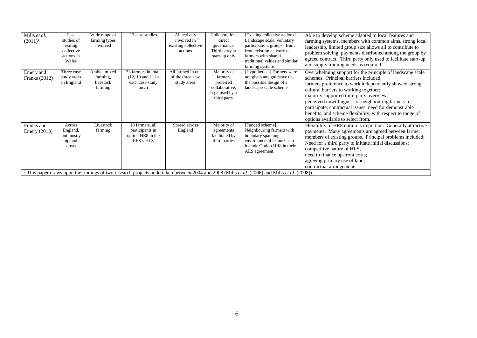| Mills et al.<br>$(2011)^1$   | Case<br>studies of<br>exiting<br>collective<br>actions in<br>Wales | Wide range of<br>farming types<br>involved        | 13 case studies                                                                           | All actively<br>involved in<br>existing collective<br>actions | Collaboration,<br>direct<br>governance.<br>Third party at<br>start-up only             | [Existing collective actions]<br>Landscape scale, voluntary<br>participation, groups. Built<br>from existing network of<br>farmers with shared<br>traditional values and similar<br>farming systems                                                                                                                         | Able to develop scheme adapted to local features and<br>farming systems, members with common aims, strong local<br>leadership, limited group size allows all to contribute to<br>problem solving; payments distributed among the group by<br>agreed contract. Third party only used to facilitate start-up<br>and supply training needs as required.                                                                                                                  |
|------------------------------|--------------------------------------------------------------------|---------------------------------------------------|-------------------------------------------------------------------------------------------|---------------------------------------------------------------|----------------------------------------------------------------------------------------|-----------------------------------------------------------------------------------------------------------------------------------------------------------------------------------------------------------------------------------------------------------------------------------------------------------------------------|-----------------------------------------------------------------------------------------------------------------------------------------------------------------------------------------------------------------------------------------------------------------------------------------------------------------------------------------------------------------------------------------------------------------------------------------------------------------------|
| Emery and<br>Franks (2012)   | Three case<br>study areas<br>in England                            | Arable, mixed<br>farming,<br>livestock<br>farming | 33 farmers in total,<br>$(12, 10 \text{ and } 11 \text{ in})$<br>each case study<br>area) | All farmed in one<br>of the three case<br>study areas         | Majority of<br>farmers<br>preferred<br>collaborative,<br>organised by a<br>third party | [Hypothetical] Farmers were<br>not given any guidance on<br>the possible design of a<br>landscape scale scheme                                                                                                                                                                                                              | Overwhelming support for the principle of landscape scale<br>schemes. Principal barriers included;<br>farmers preference to work independently showed strong<br>cultural barriers to working together;<br>majority supported third party overview;<br>perceived unwillingness of neighbouring farmers to<br>participate; contractual issues; need for demonstrable<br>benefits; and scheme flexibility, with respect to range of<br>options available to select from. |
| Franks and<br>Emery $(2013)$ | Across<br>England,<br>but mostly<br>upland<br>areas                | Livestock<br>farming                              | 18 farmers, all<br>participants in<br>option HR8 in the<br>EES's HLS                      | Spread across<br>England                                      | Majority of<br>agreements<br>facilitated by<br>third parties                           | [Funded scheme].<br>Neighbouring farmers with<br>boundary spanning<br>environmental features can<br>include Option HR8 in their<br>AES agreement.<br><sup>1</sup> This paper draws upon the findings of two research projects undertaken between 2004 and 2008 (Mills <i>et al.</i> (2006) and Mills <i>et al.</i> (2008)). | Flexibility of HR8 option is important. Generally attractive<br>payments. Many agreements are agreed between farmer<br>members of existing groups. Principal problems included;<br>Need for a third party to initiate initial discussions;<br>competitive nature of HLS;<br>need to finance up-front costs;<br>agreeing primary use of land;<br>contractual arrangements.                                                                                             |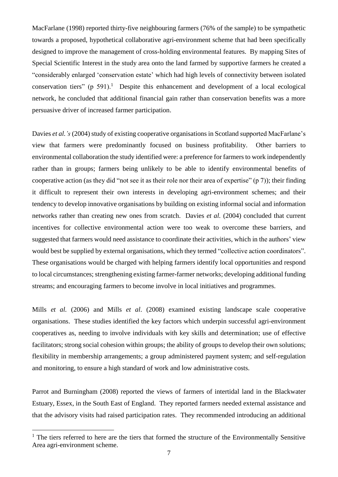MacFarlane [\(1998\)](#page-35-8) reported thirty-five neighbouring farmers (76% of the sample) to be sympathetic towards a proposed, hypothetical collaborative agri-environment scheme that had been specifically designed to improve the management of cross-holding environmental features. By mapping Sites of Special Scientific Interest in the study area onto the land farmed by supportive farmers he created a "considerably enlarged 'conservation estate' which had high levels of connectivity between isolated conservation tiers" (p  $591$ ).<sup>1</sup> Despite this enhancement and development of a local ecological network, he concluded that additional financial gain rather than conservation benefits was a more persuasive driver of increased farmer participation.

Davies *et al.* 's [\(2004\)](#page-33-5) study of existing cooperative organisations in Scotland supported MacFarlane's view that farmers were predominantly focused on business profitability. Other barriers to environmental collaboration the study identified were: a preference for farmers to work independently rather than in groups; farmers being unlikely to be able to identify environmental benefits of cooperative action (as they did "not see it as their role nor their area of expertise" (p 7)); their finding it difficult to represent their own interests in developing agri-environment schemes; and their tendency to develop innovative organisations by building on existing informal social and information networks rather than creating new ones from scratch. Davies *et al.* (2004) concluded that current incentives for collective environmental action were too weak to overcome these barriers, and suggested that farmers would need assistance to coordinate their activities, which in the authors' view would best be supplied by external organisations, which they termed "collective action coordinators". These organisations would be charged with helping farmers identify local opportunities and respond to local circumstances; strengthening existing farmer-farmer networks; developing additional funding streams; and encouraging farmers to become involve in local initiatives and programmes.

Mills *et al.* [\(2006\)](#page-36-2) and Mills *et al*. [\(2008\)](#page-36-3) examined existing landscape scale cooperative organisations. These studies identified the key factors which underpin successful agri-environment cooperatives as, needing to involve individuals with key skills and determination; use of effective facilitators; strong social cohesion within groups; the ability of groups to develop their own solutions; flexibility in membership arrangements; a group administered payment system; and self-regulation and monitoring, to ensure a high standard of work and low administrative costs.

Parrot and Burningham (2008) reported the views of farmers of intertidal land in the Blackwater Estuary, Essex, in the South East of England. They reported farmers needed external assistance and that the advisory visits had raised participation rates. They recommended introducing an additional

1

 $1$  The tiers referred to here are the tiers that formed the structure of the Environmentally Sensitive Area agri-environment scheme.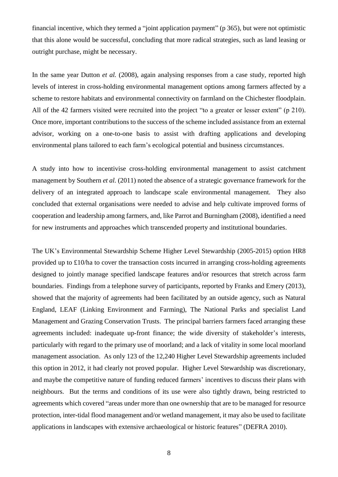financial incentive, which they termed a "joint application payment" (p 365), but were not optimistic that this alone would be successful, concluding that more radical strategies, such as land leasing or outright purchase, might be necessary.

In the same year Dutton *et al.* [\(2008\)](#page-33-3), again analysing responses from a case study, reported high levels of interest in cross-holding environmental management options among farmers affected by a scheme to restore habitats and environmental connectivity on farmland on the Chichester floodplain. All of the 42 farmers visited were recruited into the project "to a greater or lesser extent" (p 210). Once more, important contributions to the success of the scheme included assistance from an external advisor, working on a one-to-one basis to assist with drafting applications and developing environmental plans tailored to each farm's ecological potential and business circumstances.

A study into how to incentivise cross-holding environmental management to assist catchment management by Southern *et al.* [\(2011\)](#page-38-9) noted the absence of a strategic governance framework for the delivery of an integrated approach to landscape scale environmental management. They also concluded that external organisations were needed to advise and help cultivate improved forms of cooperation and leadership among farmers, and, like Parrot and Burningham (2008), identified a need for new instruments and approaches which transcended property and institutional boundaries.

The UK's Environmental Stewardship Scheme Higher Level Stewardship (2005-2015) option HR8 provided up to £10/ha to cover the transaction costs incurred in arranging cross-holding agreements designed to jointly manage specified landscape features and/or resources that stretch across farm boundaries. Findings from a telephone survey of participants, reported by Franks and Emery [\(2013\)](#page-34-3), showed that the majority of agreements had been facilitated by an outside agency, such as Natural England, LEAF (Linking Environment and Farming), The National Parks and specialist Land Management and Grazing Conservation Trusts. The principal barriers farmers faced arranging these agreements included: inadequate up-front finance; the wide diversity of stakeholder's interests, particularly with regard to the primary use of moorland; and a lack of vitality in some local moorland management association. As only 123 of the 12,240 Higher Level Stewardship agreements included this option in 2012, it had clearly not proved popular. Higher Level Stewardship was discretionary, and maybe the competitive nature of funding reduced farmers' incentives to discuss their plans with neighbours. But the terms and conditions of its use were also tightly drawn, being restricted to agreements which covered "areas under more than one ownership that are to be managed for resource protection, inter-tidal flood management and/or wetland management, it may also be used to facilitate applications in landscapes with extensive archaeological or historic features" [\(DEFRA 2010\)](#page-33-6).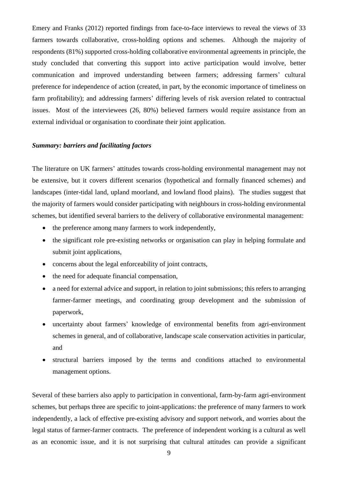Emery and Franks [\(2012\)](#page-34-4) reported findings from face-to-face interviews to reveal the views of 33 farmers towards collaborative, cross-holding options and schemes. Although the majority of respondents (81%) supported cross-holding collaborative environmental agreements in principle, the study concluded that converting this support into active participation would involve, better communication and improved understanding between farmers; addressing farmers' cultural preference for independence of action (created, in part, by the economic importance of timeliness on farm profitability); and addressing farmers' differing levels of risk aversion related to contractual issues. Most of the interviewees (26, 80%) believed farmers would require assistance from an external individual or organisation to coordinate their joint application.

# *Summary: barriers and facilitating factors*

The literature on UK farmers' attitudes towards cross-holding environmental management may not be extensive, but it covers different scenarios (hypothetical and formally financed schemes) and landscapes (inter-tidal land, upland moorland, and lowland flood plains). The studies suggest that the majority of farmers would consider participating with neighbours in cross-holding environmental schemes, but identified several barriers to the delivery of collaborative environmental management:

- the preference among many farmers to work independently,
- the significant role pre-existing networks or organisation can play in helping formulate and submit joint applications,
- concerns about the legal enforceability of joint contracts,
- the need for adequate financial compensation,
- a need for external advice and support, in relation to joint submissions; this refers to arranging farmer-farmer meetings, and coordinating group development and the submission of paperwork,
- uncertainty about farmers' knowledge of environmental benefits from agri-environment schemes in general, and of collaborative, landscape scale conservation activities in particular, and
- structural barriers imposed by the terms and conditions attached to environmental management options.

Several of these barriers also apply to participation in conventional, farm-by-farm agri-environment schemes, but perhaps three are specific to joint-applications: the preference of many farmers to work independently, a lack of effective pre-existing advisory and support network, and worries about the legal status of farmer-farmer contracts. The preference of independent working is a cultural as well as an economic issue, and it is not surprising that cultural attitudes can provide a significant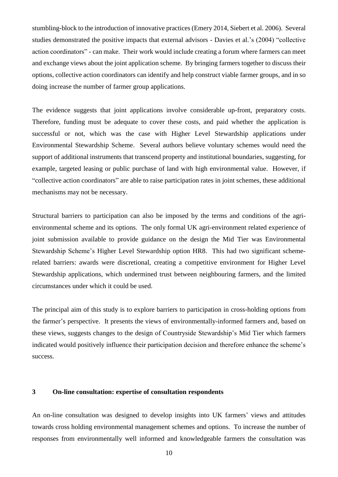stumbling-block to the introduction of innovative practices [\(Emery 2014,](#page-34-5) [Siebert et al. 2006\)](#page-38-4). Several studies demonstrated the positive impacts that external advisors - Davies et al.'s (2004) "collective action coordinators" - can make. Their work would include creating a forum where farmers can meet and exchange views about the joint application scheme. By bringing farmers together to discuss their options, collective action coordinators can identify and help construct viable farmer groups, and in so doing increase the number of farmer group applications.

The evidence suggests that joint applications involve considerable up-front, preparatory costs. Therefore, funding must be adequate to cover these costs, and paid whether the application is successful or not, which was the case with Higher Level Stewardship applications under Environmental Stewardship Scheme. Several authors believe voluntary schemes would need the support of additional instruments that transcend property and institutional boundaries, suggesting, for example, targeted leasing or public purchase of land with high environmental value. However, if "collective action coordinators" are able to raise participation rates in joint schemes, these additional mechanisms may not be necessary.

Structural barriers to participation can also be imposed by the terms and conditions of the agrienvironmental scheme and its options. The only formal UK agri-environment related experience of joint submission available to provide guidance on the design the Mid Tier was Environmental Stewardship Scheme's Higher Level Stewardship option HR8. This had two significant schemerelated barriers: awards were discretional, creating a competitive environment for Higher Level Stewardship applications, which undermined trust between neighbouring farmers, and the limited circumstances under which it could be used.

The principal aim of this study is to explore barriers to participation in cross-holding options from the farmer's perspective. It presents the views of environmentally-informed farmers and, based on these views, suggests changes to the design of Countryside Stewardship's Mid Tier which farmers indicated would positively influence their participation decision and therefore enhance the scheme's success.

# **3 On-line consultation: expertise of consultation respondents**

An on-line consultation was designed to develop insights into UK farmers' views and attitudes towards cross holding environmental management schemes and options. To increase the number of responses from environmentally well informed and knowledgeable farmers the consultation was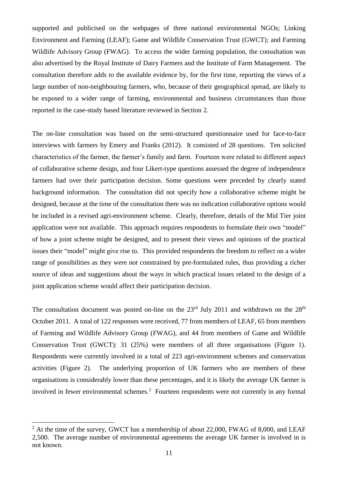supported and publicised on the webpages of three national environmental NGOs; Linking Environment and Farming (LEAF); Game and Wildlife Conservation Trust (GWCT); and Farming Wildlife Advisory Group (FWAG). To access the wider farming population, the consultation was also advertised by the Royal Institute of Dairy Farmers and the Institute of Farm Management. The consultation therefore adds to the available evidence by, for the first time, reporting the views of a large number of non-neighbouring farmers, who, because of their geographical spread, are likely to be exposed to a wider range of farming, environmental and business circumstances than those reported in the case-study based literature reviewed in Section 2.

The on-line consultation was based on the semi-structured questionnaire used for face-to-face interviews with farmers by Emery and Franks [\(2012\)](#page-34-4). It consisted of 28 questions. Ten solicited characteristics of the farmer, the farmer's family and farm. Fourteen were related to different aspect of collaborative scheme design, and four Likert-type questions assessed the degree of independence farmers had over their participation decision. Some questions were preceded by clearly stated background information. The consultation did not specify how a collaborative scheme might be designed, because at the time of the consultation there was no indication collaborative options would be included in a revised agri-environment scheme. Clearly, therefore, details of the Mid Tier joint application were not available. This approach requires respondents to formulate their own "model" of how a joint scheme might be designed, and to present their views and opinions of the practical issues their "model" might give rise to. This provided respondents the freedom to reflect on a wider range of possibilities as they were not constrained by pre-formulated rules, thus providing a richer source of ideas and suggestions about the ways in which practical issues related to the design of a joint application scheme would affect their participation decision.

The consultation document was posted on-line on the  $23<sup>rd</sup>$  July 2011 and withdrawn on the  $28<sup>th</sup>$ October 2011. A total of 122 responses were received, 77 from members of LEAF, 65 from members of Farming and Wildlife Advisory Group (FWAG), and 44 from members of Game and Wildlife Conservation Trust (GWCT): 31 (25%) were members of all three organisations (Figure 1). Respondents were currently involved in a total of 223 agri-environment schemes and conservation activities (Figure 2). The underlying proportion of UK farmers who are members of these organisations is considerably lower than these percentages, and it is likely the average UK farmer is involved in fewer environmental schemes. 2 Fourteen respondents were not currently in any formal

1

 $2$  At the time of the survey, GWCT has a membership of about 22,000, FWAG of 8,000, and LEAF 2,500. The average number of environmental agreements the average UK farmer is involved in is not known.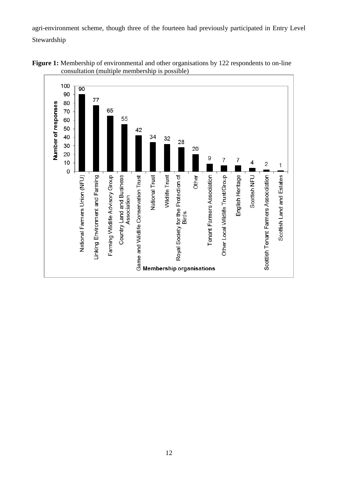agri-environment scheme, though three of the fourteen had previously participated in Entry Level Stewardship



Figure 1: Membership of environmental and other organisations by 122 respondents to on-line consultation (multiple membership is possible)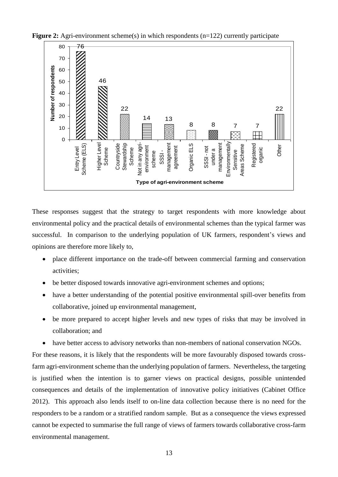



These responses suggest that the strategy to target respondents with more knowledge about environmental policy and the practical details of environmental schemes than the typical farmer was successful. In comparison to the underlying population of UK farmers, respondent's views and opinions are therefore more likely to,

- place different importance on the trade-off between commercial farming and conservation activities;
- be better disposed towards innovative agri-environment schemes and options;
- have a better understanding of the potential positive environmental spill-over benefits from collaborative, joined up environmental management,
- be more prepared to accept higher levels and new types of risks that may be involved in collaboration; and
- have better access to advisory networks than non-members of national conservation NGOs.

For these reasons, it is likely that the respondents will be more favourably disposed towards crossfarm agri-environment scheme than the underlying population of farmers. Nevertheless, the targeting is justified when the intention is to garner views on practical designs, possible unintended consequences and details of the implementation of innovative policy initiatives [\(Cabinet Office](#page-33-7)  [2012\)](#page-33-7). This approach also lends itself to on-line data collection because there is no need for the responders to be a random or a stratified random sample. But as a consequence the views expressed cannot be expected to summarise the full range of views of farmers towards collaborative cross-farm environmental management.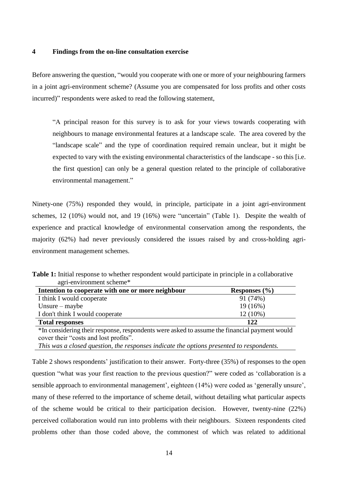#### **4 Findings from the on-line consultation exercise**

Before answering the question, "would you cooperate with one or more of your neighbouring farmers in a joint agri-environment scheme? (Assume you are compensated for loss profits and other costs incurred)" respondents were asked to read the following statement,

"A principal reason for this survey is to ask for your views towards cooperating with neighbours to manage environmental features at a landscape scale. The area covered by the "landscape scale" and the type of coordination required remain unclear, but it might be expected to vary with the existing environmental characteristics of the landscape - so this [i.e. the first question] can only be a general question related to the principle of collaborative environmental management."

Ninety-one (75%) responded they would, in principle, participate in a joint agri-environment schemes, 12 (10%) would not, and 19 (16%) were "uncertain" (Table 1). Despite the wealth of experience and practical knowledge of environmental conservation among the respondents, the majority (62%) had never previously considered the issues raised by and cross-holding agrienvironment management schemes.

**Table 1:** Initial response to whether respondent would participate in principle in a collaborative agri-environment scheme\*

| Intention to cooperate with one or more neighbour | Responses $(\% )$ |
|---------------------------------------------------|-------------------|
| I think I would cooperate                         | 91 (74%)          |
| Unsure $-$ maybe                                  | $19(16\%)$        |
| I don't think I would cooperate                   | $12(10\%)$        |
| <b>Total responses</b>                            | 122               |

\*In considering their response, respondents were asked to assume the financial payment would cover their "costs and lost profits".

*This was a closed question, the responses indicate the options presented to respondents.*

Table 2 shows respondents' justification to their answer. Forty-three (35%) of responses to the open question "what was your first reaction to the previous question?" were coded as 'collaboration is a sensible approach to environmental management', eighteen (14%) were coded as 'generally unsure', many of these referred to the importance of scheme detail, without detailing what particular aspects of the scheme would be critical to their participation decision. However, twenty-nine (22%) perceived collaboration would run into problems with their neighbours. Sixteen respondents cited problems other than those coded above, the commonest of which was related to additional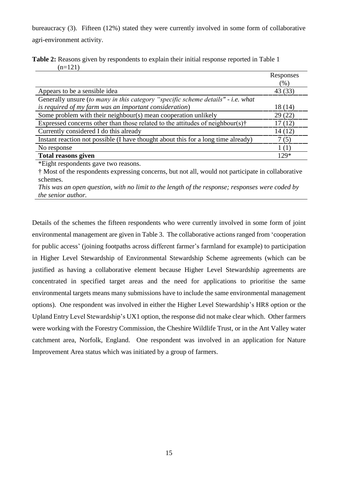bureaucracy (3). Fifteen (12%) stated they were currently involved in some form of collaborative agri-environment activity.

|           |  | <b>Table 2:</b> Reasons given by respondents to explain their initial response reported in Table 1 |  |
|-----------|--|----------------------------------------------------------------------------------------------------|--|
| $(n=121)$ |  |                                                                                                    |  |

|                                                                                           | Responses |
|-------------------------------------------------------------------------------------------|-----------|
|                                                                                           | (%)       |
| Appears to be a sensible idea                                                             | 43 (33)   |
| Generally unsure (to many in this category "specific scheme details" - i.e. what          |           |
| is required of my farm was an important consideration)                                    | 18 (14)   |
| Some problem with their neighbour(s) mean cooperation unlikely                            | 29(22)    |
| Expressed concerns other than those related to the attitudes of neighbour(s) $\dot{\tau}$ | 17(12)    |
| Currently considered I do this already                                                    | 14(12)    |
| Instant reaction not possible (I have thought about this for a long time already)         | 7(5)      |
| No response                                                                               | 1(1)      |
| <b>Total reasons given</b>                                                                | $129*$    |

\*Eight respondents gave two reasons.

† Most of the respondents expressing concerns, but not all, would not participate in collaborative schemes.

*This was an open question, with no limit to the length of the response; responses were coded by the senior author.*

Details of the schemes the fifteen respondents who were currently involved in some form of joint environmental management are given in Table 3. The collaborative actions ranged from 'cooperation for public access' (joining footpaths across different farmer's farmland for example) to participation in Higher Level Stewardship of Environmental Stewardship Scheme agreements (which can be justified as having a collaborative element because Higher Level Stewardship agreements are concentrated in specified target areas and the need for applications to prioritise the same environmental targets means many submissions have to include the same environmental management options). One respondent was involved in either the Higher Level Stewardship's HR8 option or the Upland Entry Level Stewardship's UX1 option, the response did not make clear which. Other farmers were working with the Forestry Commission, the Cheshire Wildlife Trust, or in the Ant Valley water catchment area, Norfolk, England. One respondent was involved in an application for Nature Improvement Area status which was initiated by a group of farmers.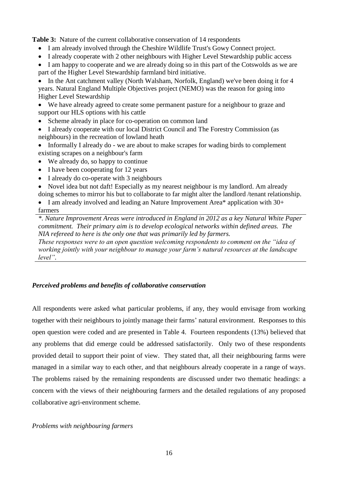**Table 3:** Nature of the current collaborative conservation of 14 respondents

- I am already involved through the Cheshire Wildlife Trust's Gowy Connect project.
- I already cooperate with 2 other neighbours with Higher Level Stewardship public access

• I am happy to cooperate and we are already doing so in this part of the Cotswolds as we are part of the Higher Level Stewardship farmland bird initiative.

 In the Ant catchment valley (North Walsham, Norfolk, England) we've been doing it for 4 years. Natural England Multiple Objectives project (NEMO) was the reason for going into Higher Level Stewardship

 We have already agreed to create some permanent pasture for a neighbour to graze and support our HLS options with his cattle

- Scheme already in place for co-operation on common land
- I already cooperate with our local District Council and The Forestry Commission (as neighbours) in the recreation of lowland heath
- Informally I already do we are about to make scrapes for wading birds to complement existing scrapes on a neighbour's farm
- We already do, so happy to continue
- I have been cooperating for 12 years
- I already do co-operate with 3 neighbours
- Novel idea but not daft! Especially as my nearest neighbour is my landlord. Am already doing schemes to mirror his but to collaborate to far might alter the landlord /tenant relationship.

• I am already involved and leading an Nature Improvement Area\* application with 30+ farmers

*\*. Nature Improvement Areas were introduced in England in 2012 as a key Natural White Paper commitment. Their primary aim is to develop ecological networks within defined areas. The NIA refereed to here is the only one that was primarily led by farmers.*

*These responses were to an open question welcoming respondents to comment on the "idea of working jointly with your neighbour to manage your farm's natural resources at the landscape level".*

# *Perceived problems and benefits of collaborative conservation*

All respondents were asked what particular problems, if any, they would envisage from working together with their neighbours to jointly manage their farms' natural environment. Responses to this open question were coded and are presented in Table 4. Fourteen respondents (13%) believed that any problems that did emerge could be addressed satisfactorily. Only two of these respondents provided detail to support their point of view. They stated that, all their neighbouring farms were managed in a similar way to each other, and that neighbours already cooperate in a range of ways. The problems raised by the remaining respondents are discussed under two thematic headings: a concern with the views of their neighbouring farmers and the detailed regulations of any proposed collaborative agri-environment scheme.

# *Problems with neighbouring farmers*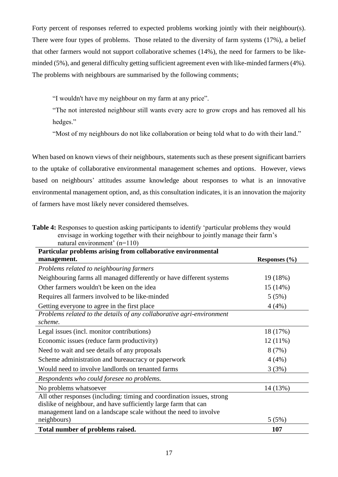Forty percent of responses referred to expected problems working jointly with their neighbour(s). There were four types of problems. Those related to the diversity of farm systems (17%), a belief that other farmers would not support collaborative schemes (14%), the need for farmers to be likeminded (5%), and general difficulty getting sufficient agreement even with like-minded farmers (4%). The problems with neighbours are summarised by the following comments;

"I wouldn't have my neighbour on my farm at any price".

"The not interested neighbour still wants every acre to grow crops and has removed all his hedges."

"Most of my neighbours do not like collaboration or being told what to do with their land."

When based on known views of their neighbours, statements such as these present significant barriers to the uptake of collaborative environmental management schemes and options. However, views based on neighbours' attitudes assume knowledge about responses to what is an innovative environmental management option, and, as this consultation indicates, it is an innovation the majority of farmers have most likely never considered themselves.

| <b>Table 4:</b> Responses to question asking participants to identify 'particular problems they would |
|-------------------------------------------------------------------------------------------------------|
| envisage in working together with their neighbour to jointly manage their farm's                      |
| natural environment' $(n=110)$                                                                        |

| Particular problems arising from collaborative environmental                                                                              |                   |
|-------------------------------------------------------------------------------------------------------------------------------------------|-------------------|
| management.                                                                                                                               | Responses $(\% )$ |
| Problems related to neighbouring farmers                                                                                                  |                   |
| Neighbouring farms all managed differently or have different systems                                                                      | 19 (18%)          |
| Other farmers wouldn't be keen on the idea                                                                                                | 15 (14%)          |
| Requires all farmers involved to be like-minded                                                                                           | 5(5%)             |
| Getting everyone to agree in the first place                                                                                              | 4(4%)             |
| Problems related to the details of any collaborative agri-environment<br>scheme.                                                          |                   |
| Legal issues (incl. monitor contributions)                                                                                                | 18 (17%)          |
| Economic issues (reduce farm productivity)                                                                                                | $12(11\%)$        |
| Need to wait and see details of any proposals                                                                                             | 8(7%)             |
| Scheme administration and bureaucracy or paperwork                                                                                        | 4(4%)             |
| Would need to involve landlords on tenanted farms                                                                                         | 3(3%)             |
| Respondents who could foresee no problems.                                                                                                |                   |
| No problems whatsoever                                                                                                                    | 14 (13%)          |
| All other responses (including: timing and coordination issues, strong<br>dislike of neighbour, and have sufficiently large farm that can |                   |
| management land on a landscape scale without the need to involve<br>neighbours)                                                           | 5(5%)             |
| Total number of problems raised.                                                                                                          | 107               |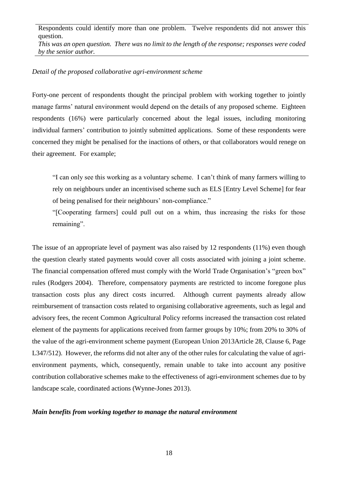Respondents could identify more than one problem. Twelve respondents did not answer this question.

*This was an open question. There was no limit to the length of the response; responses were coded by the senior author.*

#### *Detail of the proposed collaborative agri-environment scheme*

Forty-one percent of respondents thought the principal problem with working together to jointly manage farms' natural environment would depend on the details of any proposed scheme. Eighteen respondents (16%) were particularly concerned about the legal issues, including monitoring individual farmers' contribution to jointly submitted applications. Some of these respondents were concerned they might be penalised for the inactions of others, or that collaborators would renege on their agreement. For example;

"I can only see this working as a voluntary scheme. I can't think of many farmers willing to rely on neighbours under an incentivised scheme such as ELS [Entry Level Scheme] for fear of being penalised for their neighbours' non-compliance."

"[Cooperating farmers] could pull out on a whim, thus increasing the risks for those remaining".

The issue of an appropriate level of payment was also raised by 12 respondents (11%) even though the question clearly stated payments would cover all costs associated with joining a joint scheme. The financial compensation offered must comply with the World Trade Organisation's "green box" rules [\(Rodgers 2004\)](#page-37-10). Therefore, compensatory payments are restricted to income foregone plus transaction costs plus any direct costs incurred. Although current payments already allow reimbursement of transaction costs related to organising collaborative agreements, such as legal and advisory fees, the recent Common Agricultural Policy reforms increased the transaction cost related element of the payments for applications received from farmer groups by 10%; from 20% to 30% of the value of the agri-environment scheme payment [\(European Union 2013Article 28, Clause 6, Page](#page-34-6)  [L347/512\)](#page-34-6). However, the reforms did not alter any of the other rules for calculating the value of agrienvironment payments, which, consequently, remain unable to take into account any positive contribution collaborative schemes make to the effectiveness of agri-environment schemes due to by landscape scale, coordinated actions [\(Wynne-Jones 2013\)](#page-39-0).

# *Main benefits from working together to manage the natural environment*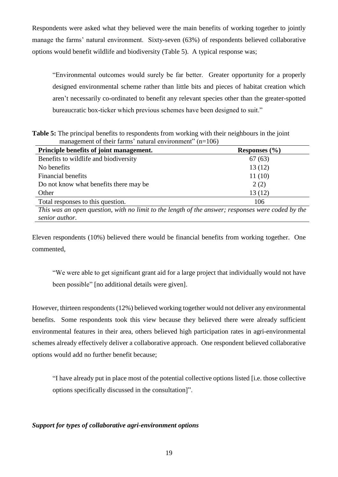Respondents were asked what they believed were the main benefits of working together to jointly manage the farms' natural environment. Sixty-seven (63%) of respondents believed collaborative options would benefit wildlife and biodiversity (Table 5). A typical response was;

"Environmental outcomes would surely be far better. Greater opportunity for a properly designed environmental scheme rather than little bits and pieces of habitat creation which aren't necessarily co-ordinated to benefit any relevant species other than the greater-spotted bureaucratic box-ticker which previous schemes have been designed to suit."

**Table 5:** The principal benefits to respondents from working with their neighbours in the joint management of their farms' natural environment"  $(n=106)$ 

| Principle benefits of joint management.                                                           | Responses $(\% )$ |  |  |
|---------------------------------------------------------------------------------------------------|-------------------|--|--|
| Benefits to wildlife and biodiversity                                                             | 67(63)            |  |  |
| No benefits                                                                                       | 13(12)            |  |  |
| <b>Financial benefits</b>                                                                         | 11(10)            |  |  |
| Do not know what benefits there may be                                                            | 2(2)              |  |  |
| Other                                                                                             | 13(12)            |  |  |
| Total responses to this question.                                                                 | 106               |  |  |
| This was an open question, with no limit to the length of the answer; responses were coded by the |                   |  |  |

*senior author.*

Eleven respondents (10%) believed there would be financial benefits from working together. One commented,

"We were able to get significant grant aid for a large project that individually would not have been possible" [no additional details were given].

However, thirteen respondents (12%) believed working together would not deliver any environmental benefits. Some respondents took this view because they believed there were already sufficient environmental features in their area, others believed high participation rates in agri-environmental schemes already effectively deliver a collaborative approach. One respondent believed collaborative options would add no further benefit because;

"I have already put in place most of the potential collective options listed [i.e. those collective options specifically discussed in the consultation]".

# *Support for types of collaborative agri-environment options*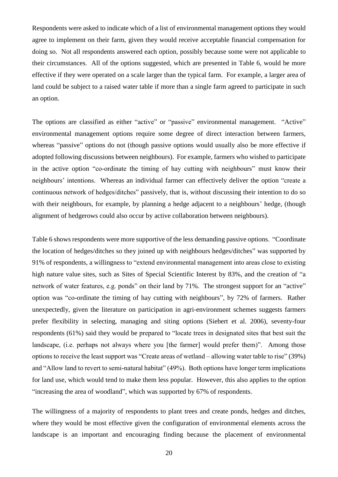Respondents were asked to indicate which of a list of environmental management options they would agree to implement on their farm, given they would receive acceptable financial compensation for doing so. Not all respondents answered each option, possibly because some were not applicable to their circumstances. All of the options suggested, which are presented in Table 6, would be more effective if they were operated on a scale larger than the typical farm. For example, a larger area of land could be subject to a raised water table if more than a single farm agreed to participate in such an option.

The options are classified as either "active" or "passive" environmental management. "Active" environmental management options require some degree of direct interaction between farmers, whereas "passive" options do not (though passive options would usually also be more effective if adopted following discussions between neighbours). For example, farmers who wished to participate in the active option "co-ordinate the timing of hay cutting with neighbours" must know their neighbours' intentions. Whereas an individual farmer can effectively deliver the option "create a continuous network of hedges/ditches" passively, that is, without discussing their intention to do so with their neighbours, for example, by planning a hedge adjacent to a neighbours' hedge, (though alignment of hedgerows could also occur by active collaboration between neighbours).

Table 6 shows respondents were more supportive of the less demanding passive options. "Coordinate the location of hedges/ditches so they joined up with neighbours hedges/ditches" was supported by 91% of respondents, a willingness to "extend environmental management into areas close to existing high nature value sites, such as Sites of Special Scientific Interest by 83%, and the creation of "a network of water features, e.g. ponds" on their land by 71%. The strongest support for an "active" option was "co-ordinate the timing of hay cutting with neighbours", by 72% of farmers. Rather unexpectedly, given the literature on participation in agri-environment schemes suggests farmers prefer flexibility in selecting, managing and siting options [\(Siebert et al. 2006\)](#page-38-4), seventy-four respondents (61%) said they would be prepared to "locate trees in designated sites that best suit the landscape, (i.e. perhaps not always where you [the farmer] would prefer them)". Among those options to receive the least support was "Create areas of wetland – allowing water table to rise" (39%) and "Allow land to revert to semi-natural habitat" (49%). Both options have longer term implications for land use, which would tend to make them less popular. However, this also applies to the option "increasing the area of woodland", which was supported by 67% of respondents.

The willingness of a majority of respondents to plant trees and create ponds, hedges and ditches, where they would be most effective given the configuration of environmental elements across the landscape is an important and encouraging finding because the placement of environmental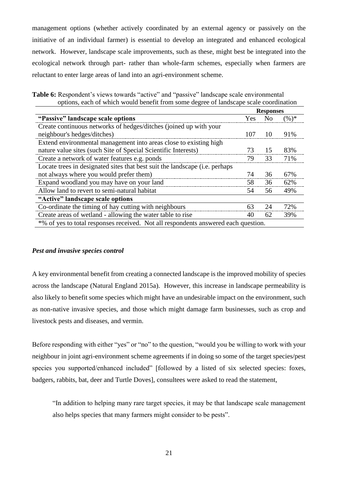management options (whether actively coordinated by an external agency or passively on the initiative of an individual farmer) is essential to develop an integrated and enhanced ecological network. However, landscape scale improvements, such as these, might best be integrated into the ecological network through part- rather than whole-farm schemes, especially when farmers are reluctant to enter large areas of land into an agri-environment scheme.

|                                                                                    |     | <b>Responses</b> |          |  |
|------------------------------------------------------------------------------------|-----|------------------|----------|--|
| "Passive" landscape scale options"                                                 | Yes | N <sub>0</sub>   | $(\%)^*$ |  |
| Create continuous networks of hedges/ditches (joined up with your                  |     |                  |          |  |
| neighbour's hedges/ditches)                                                        | 107 | 10               | 91%      |  |
| Extend environmental management into areas close to existing high                  |     |                  |          |  |
| nature value sites (such Site of Special Scientific Interests)                     | 73  | 15               | 83%      |  |
| Create a network of water features e.g. ponds                                      | 79  | 33               | 71%      |  |
| Locate trees in designated sites that best suit the landscape (i.e. perhaps        |     |                  |          |  |
| not always where you would prefer them)                                            | 74  | 36               | 67%      |  |
| Expand woodland you may have on your land                                          | 58  | 36               | 62%      |  |
| Allow land to revert to semi-natural habitat                                       | 54  | 56               | 49%      |  |
| "Active" landscape scale options                                                   |     |                  |          |  |
| Co-ordinate the timing of hay cutting with neighbours                              | 63  | 24               | 72%      |  |
| Create areas of wetland - allowing the water table to rise                         | 40  | 62               | 39%      |  |
| *% of yes to total responses received. Not all respondents answered each question. |     |                  |          |  |

**Table 6:** Respondent's views towards "active" and "passive" landscape scale environmental options, each of which would benefit from some degree of landscape scale coordination

# *Pest and invasive species control*

A key environmental benefit from creating a connected landscape is the improved mobility of species across the landscape [\(Natural England 2015a\)](#page-36-4). However, this increase in landscape permeability is also likely to benefit some species which might have an undesirable impact on the environment, such as non-native invasive species, and those which might damage farm businesses, such as crop and livestock pests and diseases, and vermin.

Before responding with either "yes" or "no" to the question, "would you be willing to work with your neighbour in joint agri-environment scheme agreements if in doing so some of the target species/pest species you supported/enhanced included" [followed by a listed of six selected species: foxes, badgers, rabbits, bat, deer and Turtle Doves], consultees were asked to read the statement,

"In addition to helping many rare target species, it may be that landscape scale management also helps species that many farmers might consider to be pests".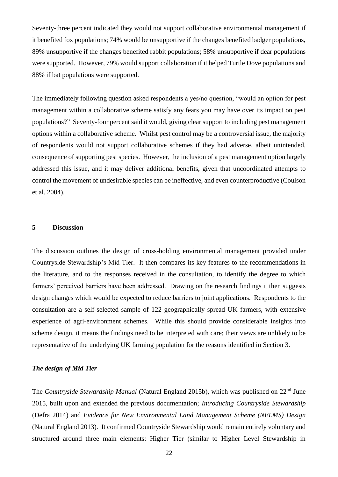Seventy-three percent indicated they would not support collaborative environmental management if it benefited fox populations; 74% would be unsupportive if the changes benefited badger populations, 89% unsupportive if the changes benefited rabbit populations; 58% unsupportive if dear populations were supported. However, 79% would support collaboration if it helped Turtle Dove populations and 88% if bat populations were supported.

The immediately following question asked respondents a yes/no question, "would an option for pest management within a collaborative scheme satisfy any fears you may have over its impact on pest populations?" Seventy-four percent said it would, giving clear support to including pest management options within a collaborative scheme. Whilst pest control may be a controversial issue, the majority of respondents would not support collaborative schemes if they had adverse, albeit unintended, consequence of supporting pest species. However, the inclusion of a pest management option largely addressed this issue, and it may deliver additional benefits, given that uncoordinated attempts to control the movement of undesirable species can be ineffective, and even counterproductive [\(Coulson](#page-33-8)  [et al. 2004\)](#page-33-8).

#### **5 Discussion**

The discussion outlines the design of cross-holding environmental management provided under Countryside Stewardship's Mid Tier. It then compares its key features to the recommendations in the literature, and to the responses received in the consultation, to identify the degree to which farmers' perceived barriers have been addressed. Drawing on the research findings it then suggests design changes which would be expected to reduce barriers to joint applications. Respondents to the consultation are a self-selected sample of 122 geographically spread UK farmers, with extensive experience of agri-environment schemes. While this should provide considerable insights into scheme design, it means the findings need to be interpreted with care; their views are unlikely to be representative of the underlying UK farming population for the reasons identified in Section 3.

#### *The design of Mid Tier*

The *Countryside Stewardship Manual* [\(Natural England 2015b\)](#page-36-5), which was published on 22nd June 2015, built upon and extended the previous documentation; *Introducing Countryside Stewardship* [\(Defra 2014\)](#page-33-9) and *Evidence for New Environmental Land Management Scheme (NELMS) Design* [\(Natural England 2013\)](#page-36-6). It confirmed Countryside Stewardship would remain entirely voluntary and structured around three main elements: Higher Tier (similar to Higher Level Stewardship in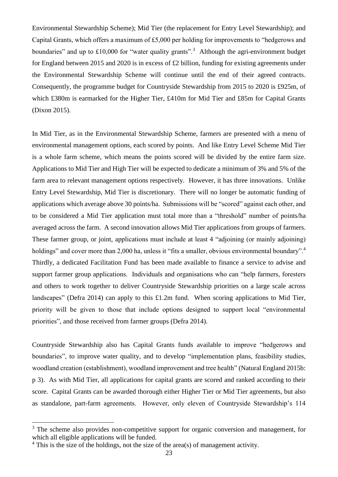Environmental Stewardship Scheme); Mid Tier (the replacement for Entry Level Stewardship); and Capital Grants, which offers a maximum of £5,000 per holding for improvements to "hedgerows and boundaries" and up to £10,000 for "water quality grants".<sup>3</sup> Although the agri-environment budget for England between 2015 and 2020 is in excess of £2 billion, funding for existing agreements under the Environmental Stewardship Scheme will continue until the end of their agreed contracts. Consequently, the programme budget for Countryside Stewardship from 2015 to 2020 is £925m, of which £380m is earmarked for the Higher Tier, £410m for Mid Tier and £85m for Capital Grants [\(Dixon 2015\)](#page-33-10).

In Mid Tier, as in the Environmental Stewardship Scheme, farmers are presented with a menu of environmental management options, each scored by points. And like Entry Level Scheme Mid Tier is a whole farm scheme, which means the points scored will be divided by the entire farm size. Applications to Mid Tier and High Tier will be expected to dedicate a minimum of 3% and 5% of the farm area to relevant management options respectively. However, it has three innovations. Unlike Entry Level Stewardship, Mid Tier is discretionary. There will no longer be automatic funding of applications which average above 30 points/ha. Submissions will be "scored" against each other, and to be considered a Mid Tier application must total more than a "threshold" number of points/ha averaged across the farm. A second innovation allows Mid Tier applications from groups of farmers. These farmer group, or joint, applications must include at least 4 "adjoining (or mainly adjoining) holdings" and cover more than 2,000 ha, unless it "fits a smaller, obvious environmental boundary".<sup>4</sup> Thirdly, a dedicated Facilitation Fund has been made available to finance a service to advise and support farmer group applications. Individuals and organisations who can "help farmers, foresters and others to work together to deliver Countryside Stewardship priorities on a large scale across landscapes" [\(Defra 2014\)](#page-33-9) can apply to this £1.2m fund. When scoring applications to Mid Tier, priority will be given to those that include options designed to support local "environmental priorities", and those received from farmer groups [\(Defra 2014\)](#page-33-9).

Countryside Stewardship also has Capital Grants funds available to improve "hedgerows and boundaries", to improve water quality, and to develop "implementation plans, feasibility studies, woodland creation (establishment), woodland improvement and tree health" [\(Natural England 2015b:](#page-36-5)  [p 3\)](#page-36-5). As with Mid Tier, all applications for capital grants are scored and ranked according to their score. Capital Grants can be awarded thorough either Higher Tier or Mid Tier agreements, but also as standalone, part-farm agreements. However, only eleven of Countryside Stewardship's 114

1

<sup>&</sup>lt;sup>3</sup> The scheme also provides non-competitive support for organic conversion and management, for which all eligible applications will be funded.

<sup>&</sup>lt;sup>4</sup> This is the size of the holdings, not the size of the area(s) of management activity.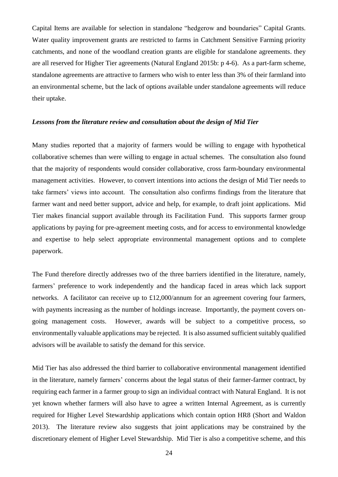Capital Items are available for selection in standalone "hedgerow and boundaries" Capital Grants. Water quality improvement grants are restricted to farms in Catchment Sensitive Farming priority catchments, and none of the woodland creation grants are eligible for standalone agreements. they are all reserved for Higher Tier agreements [\(Natural England 2015b: p 4-6\)](#page-36-5). As a part-farm scheme, standalone agreements are attractive to farmers who wish to enter less than 3% of their farmland into an environmental scheme, but the lack of options available under standalone agreements will reduce their uptake.

#### *Lessons from the literature review and consultation about the design of Mid Tier*

Many studies reported that a majority of farmers would be willing to engage with hypothetical collaborative schemes than were willing to engage in actual schemes. The consultation also found that the majority of respondents would consider collaborative, cross farm-boundary environmental management activities. However, to convert intentions into actions the design of Mid Tier needs to take farmers' views into account. The consultation also confirms findings from the literature that farmer want and need better support, advice and help, for example, to draft joint applications. Mid Tier makes financial support available through its Facilitation Fund. This supports farmer group applications by paying for pre-agreement meeting costs, and for access to environmental knowledge and expertise to help select appropriate environmental management options and to complete paperwork.

The Fund therefore directly addresses two of the three barriers identified in the literature, namely, farmers' preference to work independently and the handicap faced in areas which lack support networks. A facilitator can receive up to £12,000/annum for an agreement covering four farmers, with payments increasing as the number of holdings increase. Importantly, the payment covers ongoing management costs. However, awards will be subject to a competitive process, so environmentally valuable applications may be rejected. It is also assumed sufficient suitably qualified advisors will be available to satisfy the demand for this service.

Mid Tier has also addressed the third barrier to collaborative environmental management identified in the literature, namely farmers' concerns about the legal status of their farmer-farmer contract, by requiring each farmer in a farmer group to sign an individual contract with Natural England. It is not yet known whether farmers will also have to agree a written Internal Agreement, as is currently required for Higher Level Stewardship applications which contain option HR8 [\(Short and Waldon](#page-38-10)  [2013\)](#page-38-10). The literature review also suggests that joint applications may be constrained by the discretionary element of Higher Level Stewardship. Mid Tier is also a competitive scheme, and this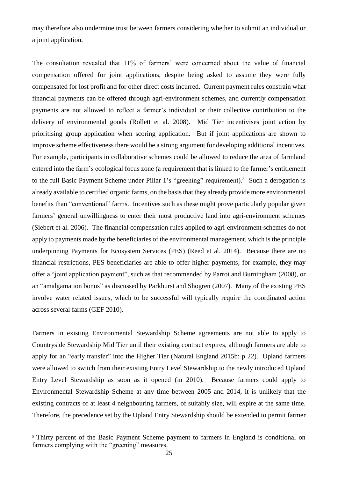may therefore also undermine trust between farmers considering whether to submit an individual or a joint application.

The consultation revealed that 11% of farmers' were concerned about the value of financial compensation offered for joint applications, despite being asked to assume they were fully compensated for lost profit and for other direct costs incurred. Current payment rules constrain what financial payments can be offered through agri-environment schemes, and currently compensation payments are not allowed to reflect a farmer's individual or their collective contribution to the delivery of environmental goods [\(Rollett et al. 2008\)](#page-37-11). Mid Tier incentivises joint action by prioritising group application when scoring application. But if joint applications are shown to improve scheme effectiveness there would be a strong argument for developing additional incentives. For example, participants in collaborative schemes could be allowed to reduce the area of farmland entered into the farm's ecological focus zone (a requirement that is linked to the farmer's entitlement to the full Basic Payment Scheme under Pillar 1's "greening" requirement).<sup>5</sup> Such a derogation is already available to certified organic farms, on the basis that they already provide more environmental benefits than "conventional" farms. Incentives such as these might prove particularly popular given farmers' general unwillingness to enter their most productive land into agri-environment schemes [\(Siebert et al. 2006\)](#page-38-4). The financial compensation rules applied to agri-environment schemes do not apply to payments made by the beneficiaries of the environmental management, which is the principle underpinning Payments for Ecosystem Services (PES) [\(Reed et al. 2014\)](#page-37-12). Because there are no financial restrictions, PES beneficiaries are able to offer higher payments, for example, they may offer a "joint application payment", such as that recommended by Parrot and Burningham [\(2008\)](#page-36-7), or an "amalgamation bonus" as discussed by Parkhurst and Shogren [\(2007\)](#page-36-8). Many of the existing PES involve water related issues, which to be successful will typically require the coordinated action across several farms [\(GEF 2010\)](#page-34-7).

Farmers in existing Environmental Stewardship Scheme agreements are not able to apply to Countryside Stewardship Mid Tier until their existing contract expires, although farmers are able to apply for an "early transfer" into the Higher Tier [\(Natural England 2015b: p 22\)](#page-36-5). Upland farmers were allowed to switch from their existing Entry Level Stewardship to the newly introduced Upland Entry Level Stewardship as soon as it opened (in 2010). Because farmers could apply to Environmental Stewardship Scheme at any time between 2005 and 2014, it is unlikely that the existing contracts of at least 4 neighbouring farmers, of suitably size, will expire at the same time. Therefore, the precedence set by the Upland Entry Stewardship should be extended to permit farmer

1

<sup>&</sup>lt;sup>5</sup> Thirty percent of the Basic Payment Scheme payment to farmers in England is conditional on farmers complying with the "greening" measures.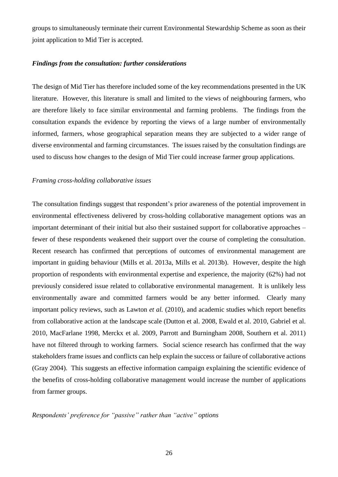groups to simultaneously terminate their current Environmental Stewardship Scheme as soon as their joint application to Mid Tier is accepted.

#### *Findings from the consultation: further considerations*

The design of Mid Tier has therefore included some of the key recommendations presented in the UK literature. However, this literature is small and limited to the views of neighbouring farmers, who are therefore likely to face similar environmental and farming problems. The findings from the consultation expands the evidence by reporting the views of a large number of environmentally informed, farmers, whose geographical separation means they are subjected to a wider range of diverse environmental and farming circumstances. The issues raised by the consultation findings are used to discuss how changes to the design of Mid Tier could increase farmer group applications.

#### *Framing cross-holding collaborative issues*

The consultation findings suggest that respondent's prior awareness of the potential improvement in environmental effectiveness delivered by cross-holding collaborative management options was an important determinant of their initial but also their sustained support for collaborative approaches – fewer of these respondents weakened their support over the course of completing the consultation. Recent research has confirmed that perceptions of outcomes of environmental management are important in guiding behaviour [\(Mills et al. 2013a,](#page-35-9) [Mills et al. 2013b\)](#page-35-7). However, despite the high proportion of respondents with environmental expertise and experience, the majority (62%) had not previously considered issue related to collaborative environmental management. It is unlikely less environmentally aware and committed farmers would be any better informed. Clearly many important policy reviews, such as Lawton *et al.* [\(2010\)](#page-35-2), and academic studies which report benefits from collaborative action at the landscape scale [\(Dutton et al. 2008,](#page-33-3) [Ewald et al. 2010,](#page-34-8) [Gabriel et al.](#page-34-0)  [2010,](#page-34-0) [MacFarlane 1998,](#page-35-8) [Merckx et al. 2009,](#page-35-10) [Parrott and Burningham 2008,](#page-36-7) [Southern et al. 2011\)](#page-38-9) have not filtered through to working farmers. Social science research has confirmed that the way stakeholders frame issues and conflicts can help explain the success or failure of collaborative actions [\(Gray 2004\)](#page-34-9). This suggests an effective information campaign explaining the scientific evidence of the benefits of cross-holding collaborative management would increase the number of applications from farmer groups.

*Respondents' preference for "passive" rather than "active" options*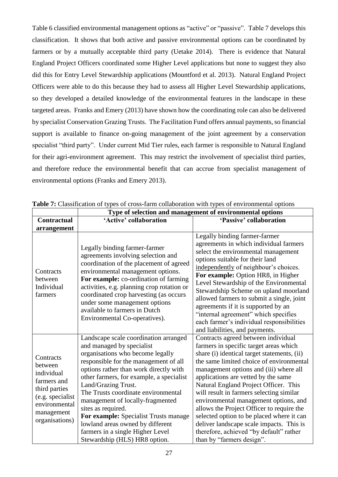Table 6 classified environmental management options as "active" or "passive". Table 7 develops this classification. It shows that both active and passive environmental options can be coordinated by farmers or by a mutually acceptable third party [\(Uetake 2014\)](#page-38-11). There is evidence that Natural England Project Officers coordinated some Higher Level applications but none to suggest they also did this for Entry Level Stewardship applications [\(Mountford et al. 2013\)](#page-36-9). Natural England Project Officers were able to do this because they had to assess all Higher Level Stewardship applications, so they developed a detailed knowledge of the environmental features in the landscape in these targeted areas. Franks and Emery [\(2013\)](#page-34-3) have shown how the coordinating role can also be delivered by specialist Conservation Grazing Trusts. The Facilitation Fund offers annual payments, so financial support is available to finance on-going management of the joint agreement by a conservation specialist "third party". Under current Mid Tier rules, each farmer is responsible to Natural England for their agri-environment agreement. This may restrict the involvement of specialist third parties, and therefore reduce the environmental benefit that can accrue from specialist management of environmental options [\(Franks and Emery 2013\)](#page-34-3).

|                                                                                                                                         | Type of selection and management of environmental options                                                                                                                                                                                                                                                                                                                                                                                                                                                       |                                                                                                                                                                                                                                                                                                                                                                                                                                                                                                                                                                                                       |  |  |  |
|-----------------------------------------------------------------------------------------------------------------------------------------|-----------------------------------------------------------------------------------------------------------------------------------------------------------------------------------------------------------------------------------------------------------------------------------------------------------------------------------------------------------------------------------------------------------------------------------------------------------------------------------------------------------------|-------------------------------------------------------------------------------------------------------------------------------------------------------------------------------------------------------------------------------------------------------------------------------------------------------------------------------------------------------------------------------------------------------------------------------------------------------------------------------------------------------------------------------------------------------------------------------------------------------|--|--|--|
| <b>Contractual</b>                                                                                                                      | 'Active' collaboration                                                                                                                                                                                                                                                                                                                                                                                                                                                                                          | 'Passive' collaboration                                                                                                                                                                                                                                                                                                                                                                                                                                                                                                                                                                               |  |  |  |
| arrangement                                                                                                                             |                                                                                                                                                                                                                                                                                                                                                                                                                                                                                                                 |                                                                                                                                                                                                                                                                                                                                                                                                                                                                                                                                                                                                       |  |  |  |
| Contracts<br>between<br>Individual<br>farmers                                                                                           | Legally binding farmer-farmer<br>agreements involving selection and<br>coordination of the placement of agreed<br>environmental management options.<br>For example: co-ordination of farming<br>activities, e.g. planning crop rotation or<br>coordinated crop harvesting (as occurs<br>under some management options<br>available to farmers in Dutch<br>Environmental Co-operatives).                                                                                                                         | Legally binding farmer-farmer<br>agreements in which individual farmers<br>select the environmental management<br>options suitable for their land<br>independently of neighbour's choices.<br>For example: Option HR8, in Higher<br>Level Stewardship of the Environmental<br>Stewardship Scheme on upland moorland<br>allowed farmers to submit a single, joint<br>agreements if it is supported by an<br>"internal agreement" which specifies<br>each farmer's individual responsibilities<br>and liabilities, and payments.                                                                        |  |  |  |
| Contracts<br>between<br>individual<br>farmers and<br>third parties<br>(e.g. specialist<br>environmental<br>management<br>organisations) | Landscape scale coordination arranged<br>and managed by specialist<br>organisations who become legally<br>responsible for the management of all<br>options rather than work directly with<br>other farmers, for example, a specialist<br>Land/Grazing Trust.<br>The Trusts coordinate environmental<br>management of locally-fragmented<br>sites as required.<br>For example: Specialist Trusts manage<br>lowland areas owned by different<br>farmers in a single Higher Level<br>Stewardship (HLS) HR8 option. | Contracts agreed between individual<br>farmers in specific target areas which<br>share (i) identical target statements, (ii)<br>the same limited choice of environmental<br>management options and (iii) where all<br>applications are vetted by the same<br>Natural England Project Officer. This<br>will result in farmers selecting similar<br>environmental management options, and<br>allows the Project Officer to require the<br>selected option to be placed where it can<br>deliver landscape scale impacts. This is<br>therefore, achieved "by default" rather<br>than by "farmers design". |  |  |  |

**Table 7:** Classification of types of cross-farm collaboration with types of environmental options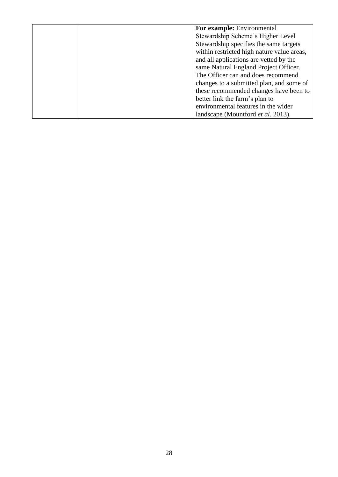|  | For example: Environmental                 |
|--|--------------------------------------------|
|  | Stewardship Scheme's Higher Level          |
|  | Stewardship specifies the same targets     |
|  | within restricted high nature value areas, |
|  | and all applications are vetted by the     |
|  | same Natural England Project Officer.      |
|  | The Officer can and does recommend         |
|  | changes to a submitted plan, and some of   |
|  | these recommended changes have been to     |
|  | better link the farm's plan to             |
|  | environmental features in the wider        |
|  | landscape (Mountford <i>et al.</i> 2013).  |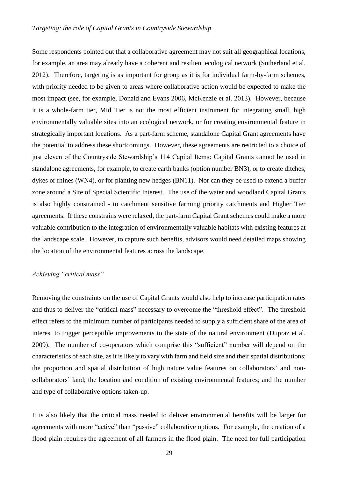Some respondents pointed out that a collaborative agreement may not suit all geographical locations, for example, an area may already have a coherent and resilient ecological network [\(Sutherland et al.](#page-38-12)  [2012\)](#page-38-12). Therefore, targeting is as important for group as it is for individual farm-by-farm schemes, with priority needed to be given to areas where collaborative action would be expected to make the most impact (see, for example, [Donald and Evans 2006,](#page-33-2) [McKenzie et al. 2013\)](#page-35-5). However, because it is a whole-farm tier, Mid Tier is not the most efficient instrument for integrating small, high environmentally valuable sites into an ecological network, or for creating environmental feature in strategically important locations. As a part-farm scheme, standalone Capital Grant agreements have the potential to address these shortcomings. However, these agreements are restricted to a choice of just eleven of the Countryside Stewardship's 114 Capital Items: Capital Grants cannot be used in standalone agreements, for example, to create earth banks (option number BN3), or to create ditches, dykes or rhines (WN4), or for planting new hedges (BN11). Nor can they be used to extend a buffer zone around a Site of Special Scientific Interest. The use of the water and woodland Capital Grants is also highly constrained - to catchment sensitive farming priority catchments and Higher Tier agreements. If these constrains were relaxed, the part-farm Capital Grant schemes could make a more valuable contribution to the integration of environmentally valuable habitats with existing features at the landscape scale. However, to capture such benefits, advisors would need detailed maps showing the location of the environmental features across the landscape.

# *Achieving "critical mass"*

Removing the constraints on the use of Capital Grants would also help to increase participation rates and thus to deliver the "critical mass" necessary to overcome the "threshold effect". The threshold effect refers to the minimum number of participants needed to supply a sufficient share of the area of interest to trigger perceptible improvements to the state of the natural environment [\(Dupraz et al.](#page-33-11)  [2009\)](#page-33-11). The number of co-operators which comprise this "sufficient" number will depend on the characteristics of each site, as it is likely to vary with farm and field size and their spatial distributions; the proportion and spatial distribution of high nature value features on collaborators' and noncollaborators' land; the location and condition of existing environmental features; and the number and type of collaborative options taken-up.

It is also likely that the critical mass needed to deliver environmental benefits will be larger for agreements with more "active" than "passive" collaborative options. For example, the creation of a flood plain requires the agreement of all farmers in the flood plain. The need for full participation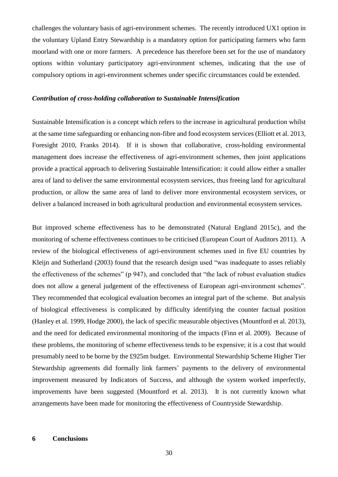challenges the voluntary basis of agri-environment schemes. The recently introduced UX1 option in the voluntary Upland Entry Stewardship is a mandatory option for participating farmers who farm moorland with one or more farmers. A precedence has therefore been set for the use of mandatory options within voluntary participatory agri-environment schemes, indicating that the use of compulsory options in agri-environment schemes under specific circumstances could be extended.

#### *Contribution of cross-holding collaboration to Sustainable Intensification*

Sustainable Intensification is a concept which refers to the increase in agricultural production whilst at the same time safeguarding or enhancing non-fibre and food ecosystem services [\(Elliott et al. 2013,](#page-33-12) [Foresight 2010,](#page-34-10) [Franks 2014\)](#page-34-11). If it is shown that collaborative, cross-holding environmental management does increase the effectiveness of agri-environment schemes, then joint applications provide a practical approach to delivering Sustainable Intensification: it could allow either a smaller area of land to deliver the same environmental ecosystem services, thus freeing land for agricultural production, or allow the same area of land to deliver more environmental ecosystem services, or deliver a balanced increased in both agricultural production and environmental ecosystem services.

But improved scheme effectiveness has to be demonstrated [\(Natural England 2015c\)](#page-36-10), and the monitoring of scheme effectiveness continues to be criticised [\(European Court of Auditors 2011\)](#page-34-12). A review of the biological effectiveness of agri-environment schemes used in five EU countries by Kleijn and Sutherland [\(2003\)](#page-35-11) found that the research design used "was inadequate to asses reliably the effectiveness of the schemes" (p 947), and concluded that "the lack of robust evaluation studies does not allow a general judgement of the effectiveness of European agri-environment schemes". They recommended that ecological evaluation becomes an integral part of the scheme. But analysis of biological effectiveness is complicated by difficulty identifying the counter factual position [\(Hanley et al. 1999,](#page-34-13) [Hodge 2000\)](#page-35-12), the lack of specific measurable objectives [\(Mountford et al. 2013\)](#page-36-9), and the need for dedicated environmental monitoring of the impacts [\(Finn et al. 2009\)](#page-34-14). Because of these problems, the monitoring of scheme effectiveness tends to be expensive; it is a cost that would presumably need to be borne by the £925m budget. Environmental Stewardship Scheme Higher Tier Stewardship agreements did formally link farmers' payments to the delivery of environmental improvement measured by Indicators of Success, and although the system worked imperfectly, improvements have been suggested [\(Mountford et al. 2013\)](#page-36-9). It is not currently known what arrangements have been made for monitoring the effectiveness of Countryside Stewardship.

#### **6 Conclusions**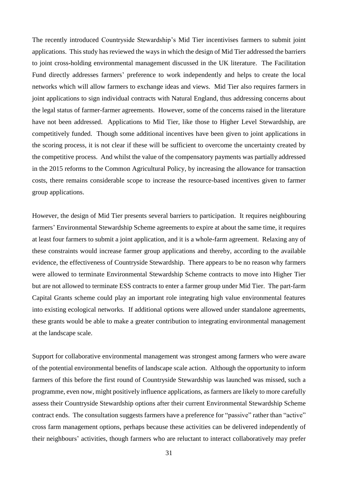The recently introduced Countryside Stewardship's Mid Tier incentivises farmers to submit joint applications. This study has reviewed the ways in which the design of Mid Tier addressed the barriers to joint cross-holding environmental management discussed in the UK literature. The Facilitation Fund directly addresses farmers' preference to work independently and helps to create the local networks which will allow farmers to exchange ideas and views. Mid Tier also requires farmers in joint applications to sign individual contracts with Natural England, thus addressing concerns about the legal status of farmer-farmer agreements. However, some of the concerns raised in the literature have not been addressed. Applications to Mid Tier, like those to Higher Level Stewardship, are competitively funded. Though some additional incentives have been given to joint applications in the scoring process, it is not clear if these will be sufficient to overcome the uncertainty created by the competitive process. And whilst the value of the compensatory payments was partially addressed in the 2015 reforms to the Common Agricultural Policy, by increasing the allowance for transaction costs, there remains considerable scope to increase the resource-based incentives given to farmer group applications.

However, the design of Mid Tier presents several barriers to participation. It requires neighbouring farmers' Environmental Stewardship Scheme agreements to expire at about the same time, it requires at least four farmers to submit a joint application, and it is a whole-farm agreement. Relaxing any of these constraints would increase farmer group applications and thereby, according to the available evidence, the effectiveness of Countryside Stewardship. There appears to be no reason why farmers were allowed to terminate Environmental Stewardship Scheme contracts to move into Higher Tier but are not allowed to terminate ESS contracts to enter a farmer group under Mid Tier. The part-farm Capital Grants scheme could play an important role integrating high value environmental features into existing ecological networks. If additional options were allowed under standalone agreements, these grants would be able to make a greater contribution to integrating environmental management at the landscape scale.

Support for collaborative environmental management was strongest among farmers who were aware of the potential environmental benefits of landscape scale action. Although the opportunity to inform farmers of this before the first round of Countryside Stewardship was launched was missed, such a programme, even now, might positively influence applications, as farmers are likely to more carefully assess their Countryside Stewardship options after their current Environmental Stewardship Scheme contract ends. The consultation suggests farmers have a preference for "passive" rather than "active" cross farm management options, perhaps because these activities can be delivered independently of their neighbours' activities, though farmers who are reluctant to interact collaboratively may prefer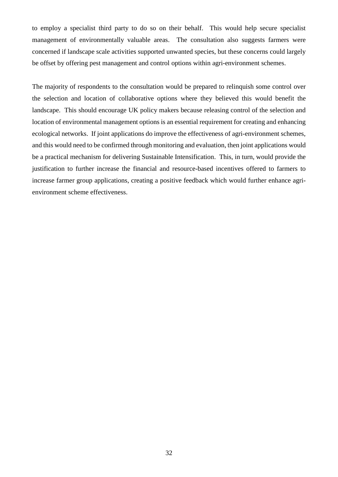to employ a specialist third party to do so on their behalf. This would help secure specialist management of environmentally valuable areas. The consultation also suggests farmers were concerned if landscape scale activities supported unwanted species, but these concerns could largely be offset by offering pest management and control options within agri-environment schemes.

The majority of respondents to the consultation would be prepared to relinquish some control over the selection and location of collaborative options where they believed this would benefit the landscape. This should encourage UK policy makers because releasing control of the selection and location of environmental management options is an essential requirement for creating and enhancing ecological networks. If joint applications do improve the effectiveness of agri-environment schemes, and this would need to be confirmed through monitoring and evaluation, then joint applications would be a practical mechanism for delivering Sustainable Intensification. This, in turn, would provide the justification to further increase the financial and resource-based incentives offered to farmers to increase farmer group applications, creating a positive feedback which would further enhance agrienvironment scheme effectiveness.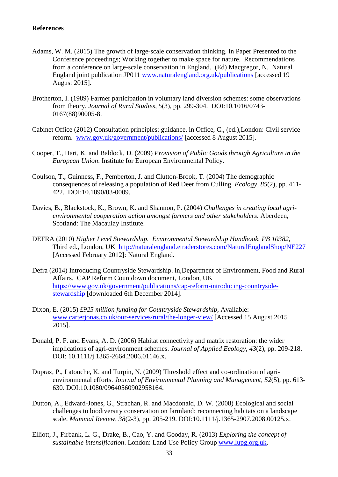#### **References**

- <span id="page-33-1"></span>Adams, W. M. (2015) The growth of large-scale conservation thinking. In Paper Presented to the Conference proceedings; Working together to make space for nature. Recommendations from a conference on large-scale conservation in England. (Ed) Macgregor, N. Natural England joint publication JP011 [www.naturalengland.org.uk/publications](http://www.naturalengland.org.uk/publications) [accessed 19 August 2015].
- <span id="page-33-4"></span>Brotherton, I. (1989) Farmer participation in voluntary land diversion schemes: some observations from theory. *Journal of Rural Studies, 5*(3), pp. 299-304. DOI:10.1016/0743- 0167(88)90005-8.
- <span id="page-33-7"></span>Cabinet Office (2012) Consultation principles: guidance. in Office, C., (ed.),London: Civil service reform. [www.gov.uk/government/publications/](http://www.gov.uk/government/publications/) [accessed 8 August 2015].
- <span id="page-33-0"></span>Cooper, T., Hart, K. and Baldock, D. (2009) *Provision of Public Goods through Agriculture in the European Union*. Institute for European Environmental Policy.
- <span id="page-33-8"></span>Coulson, T., Guinness, F., Pemberton, J. and Clutton-Brook, T. (2004) The demographic consequences of releasing a population of Red Deer from Culling. *Ecology, 85*(2), pp. 411- 422. DOI:10.1890/03-0009.
- <span id="page-33-5"></span>Davies, B., Blackstock, K., Brown, K. and Shannon, P. (2004) *Challenges in creating local agrienvironmental cooperation action amongst farmers and other stakeholders.* Aberdeen, Scotland: The Macaulay Institute.
- <span id="page-33-6"></span>DEFRA (2010) *Higher Level Stewardship. Environmental Stewardship Handbook, PB 10382,*  Third ed.*,* London, UK <http://naturalengland.etraderstores.com/NaturalEnglandShop/NE227> [Accessed February 2012]: Natural England.
- <span id="page-33-9"></span>Defra (2014) Introducing Countryside Stewardship. in,Department of Environment, Food and Rural Affairs. CAP Reform Countdown document, London, UK [https://www.gov.uk/government/publications/cap-reform-introducing-countryside](https://www.gov.uk/government/publications/cap-reform-introducing-countryside-stewardship)[stewardship](https://www.gov.uk/government/publications/cap-reform-introducing-countryside-stewardship) [downloaded 6th December 2014].
- <span id="page-33-10"></span>Dixon, E. (2015) *£925 million funding for Countryside Stewardship*, Available: [www.carterjonas.co.uk/our-services/rural/the-longer-view/](http://www.carterjonas.co.uk/our-services/rural/the-longer-view/) [Accessed 15 August 2015 2015].
- <span id="page-33-2"></span>Donald, P. F. and Evans, A. D. (2006) Habitat connectivity and matrix restoration: the wider implications of agri-environment schemes. *Journal of Applied Ecology, 43*(2), pp. 209-218. DOI: 10.1111/j.1365-2664.2006.01146.x.
- <span id="page-33-11"></span>Dupraz, P., Latouche, K. and Turpin, N. (2009) Threshold effect and co-ordination of agrienvironmental efforts. *Journal of Environmental Planning and Management, 52*(5), pp. 613- 630. DOI:10.1080/09640560902958164.
- <span id="page-33-3"></span>Dutton, A., Edward-Jones, G., Strachan, R. and Macdonald, D. W. (2008) Ecological and social challenges to biodiversity conservation on farmland: reconnecting habitats on a landscape scale. *Mammal Review, 38*(2-3), pp. 205-219. DOI:10.1111/j.1365-2907.2008.00125.x.
- <span id="page-33-12"></span>Elliott, J., Firbank, L. G., Drake, B., Cao, Y. and Gooday, R. (2013) *Exploring the concept of sustainable intensification*. London: Land Use Policy Group [www.lupg.org.uk.](http://www.lupg.org.uk/)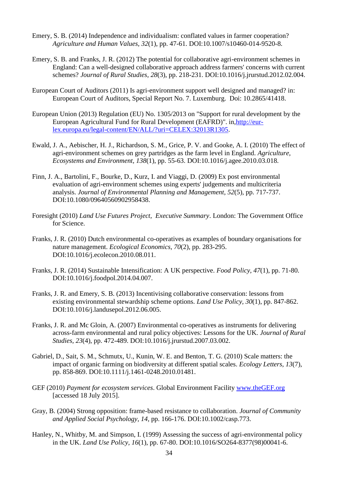- <span id="page-34-5"></span>Emery, S. B. (2014) Independence and individualism: conflated values in farmer cooperation? *Agriculture and Human Values, 32*(1), pp. 47-61. DOI:10.1007/s10460-014-9520-8.
- <span id="page-34-4"></span>Emery, S. B. and Franks, J. R. (2012) The potential for collaborative agri-environment schemes in England: Can a well-designed collaborative approach address farmers' concerns with current schemes? *Journal of Rural Studies, 28*(3), pp. 218-231. DOI:10.1016/j.jrurstud.2012.02.004.
- <span id="page-34-12"></span>European Court of Auditors (2011) Is agri-environment support well designed and managed? in: European Court of Auditors, Special Report No. 7. Luxemburg. Doi: 10.2865/41418.
- <span id="page-34-6"></span>European Union (2013) Regulation (EU) No. 1305/2013 on "Support for rural development by the European Agricultural Fund for Rural Development (EAFRD)". in[,http://eur](http://eur-lex.europa.eu/legal-content/EN/ALL/?uri=CELEX:32013R1305)[lex.europa.eu/legal-content/EN/ALL/?uri=CELEX:32013R1305.](http://eur-lex.europa.eu/legal-content/EN/ALL/?uri=CELEX:32013R1305)
- <span id="page-34-8"></span>Ewald, J. A., Aebischer, H. J., Richardson, S. M., Grice, P. V. and Gooke, A. I. (2010) The effect of agri-environment schemes on grey partridges as the farm level in England. *Agriculture, Ecosystems and Environment, 138*(1), pp. 55-63. DOI:10.1016/j.agee.2010.03.018.
- <span id="page-34-14"></span>Finn, J. A., Bartolini, F., Bourke, D., Kurz, I. and Viaggi, D. (2009) Ex post environmental evaluation of agri-environment schemes using experts' judgements and multicriteria analysis. *Journal of Environmental Planning and Management, 52*(5), pp. 717-737. DOI:10.1080/09640560902958438.
- <span id="page-34-10"></span>Foresight (2010) *Land Use Futures Project, Executive Summary*. London: The Government Office for Science.
- <span id="page-34-1"></span>Franks, J. R. (2010) Dutch environmental co-operatives as examples of boundary organisations for nature management. *Ecological Economics, 70*(2), pp. 283-295. DOI:10.1016/j.ecolecon.2010.08.011.
- <span id="page-34-11"></span>Franks, J. R. (2014) Sustainable Intensification: A UK perspective. *Food Policy, 47*(1), pp. 71-80. DOI:10.1016/j.foodpol.2014.04.007.
- <span id="page-34-3"></span>Franks, J. R. and Emery, S. B. (2013) Incentivising collaborative conservation: lessons from existing environmental stewardship scheme options. *Land Use Policy, 30*(1), pp. 847-862. DOI:10.1016/j.landusepol.2012.06.005.
- <span id="page-34-2"></span>Franks, J. R. and Mc Gloin, A. (2007) Environmental co-operatives as instruments for delivering across-farm environmental and rural policy objectives: Lessons for the UK. *Journal of Rural Studies, 23*(4), pp. 472-489. DOI:10.1016/j.jrurstud.2007.03.002.
- <span id="page-34-0"></span>Gabriel, D., Sait, S. M., Schmutx, U., Kunin, W. E. and Benton, T. G. (2010) Scale matters: the impact of organic farming on biodiversity at different spatial scales. *Ecology Letters, 13*(7), pp. 858-869. DOI:10.1111/j.1461-0248.2010.01481.
- <span id="page-34-7"></span>GEF (2010) *Payment for ecosystem services*. Global Environment Facility [www.theGEF.org](http://www.thegef.org/) [accessed 18 July 2015].
- <span id="page-34-9"></span>Gray, B. (2004) Strong opposition: frame-based resistance to collaboration. *Journal of Community and Applied Social Psychology, 14*, pp. 166-176. DOI:10.1002/casp.773.
- <span id="page-34-13"></span>Hanley, N., Whitby, M. and Simpson, I. (1999) Assessing the success of agri-environmental policy in the UK. *Land Use Policy, 16*(1), pp. 67-80. DOI:10.1016/SO264-8377(98)00041-6.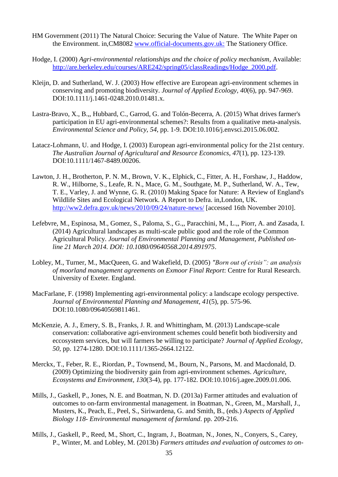- <span id="page-35-4"></span>HM Government (2011) The Natural Choice: Securing the Value of Nature. The White Paper on the Environment. in,CM8082 [www.official-documents.gov.uk:](http://www.official-documents.gov.uk/) The Stationery Office.
- <span id="page-35-12"></span>Hodge, I. (2000) *Agri-environmental relationships and the choice of policy mechanism*, Available: [http://are.berkeley.edu/courses/ARE242/spring05/classReadings/Hodge\\_2000.pdf.](http://are.berkeley.edu/courses/ARE242/spring05/classReadings/Hodge_2000.pdf)
- <span id="page-35-11"></span>Kleijn, D. and Sutherland, W. J. (2003) How effective are European agri-environment schemes in conserving and promoting biodiversity. *Journal of Applied Ecology, 40*(6), pp. 947-969. DOI:10.1111/j.1461-0248.2010.01481.x.
- <span id="page-35-6"></span>Lastra-Bravo, X., B.,, Hubbard, C., Garrod, G. and Tolón-Becerra, A. (2015) What drives farmer's participation in EU agri-environmental schemes?: Results from a qualitative meta-analysis. *Environmental Science and Policy, 54*, pp. 1-9. DOI:10.1016/j.envsci.2015.06.002.
- <span id="page-35-1"></span>Latacz-Lohmann, U. and Hodge, I. (2003) European agri-environmental policy for the 21st century. *The Australian Journal of Agricultural and Resource Economics, 47*(1), pp. 123-139. DOI:10.1111/1467-8489.00206.
- <span id="page-35-2"></span>Lawton, J. H., Brotherton, P. N. M., Brown, V. K., Elphick, C., Fitter, A. H., Forshaw, J., Haddow, R. W., Hilborne, S., Leafe, R. N., Mace, G. M., Southgate, M. P., Sutherland, W. A., Tew, T. E., Varley, J. and Wynne, G. R. (2010) Making Space for Nature: A Review of England's Wildlife Sites and Ecological Network. A Report to Defra. in,London, UK. <http://ww2.defra.gov.uk/news/2010/09/24/nature-news/> [accessed 16th November 2010].
- <span id="page-35-3"></span>Lefebvre, M., Espinosa, M., Gomez, S., Paloma, S., G.,, Paracchini, M., L.,, Piorr, A. and Zasada, I. (2014) Agricultural landscapes as multi-scale public good and the role of the Common Agricultural Policy. *Journal of Environmental Planning and Management, Published online 21 March 2014. DOI: 10.1080/09640568.2014.891975*.
- <span id="page-35-0"></span>Lobley, M., Turner, M., MacQueen, G. and Wakefield, D. (2005) *"Born out of crisis": an analysis of moorland management agreements on Exmoor Final Report*: Centre for Rural Research. University of Exeter. England.
- <span id="page-35-8"></span>MacFarlane, F. (1998) Implementing agri-environmental policy: a landscape ecology perspective. *Journal of Environmental Planning and Management, 41*(5), pp. 575-96. DOI:10.1080/09640569811461.
- <span id="page-35-5"></span>McKenzie, A. J., Emery, S. B., Franks, J. R. and Whittingham, M. (2013) Landscape-scale conservation: collaborative agri-environment schemes could benefit both biodiversity and eccosystem services, but will farmers be willing to participate? *Journal of Applied Ecology, 50*, pp. 1274-1280. DOI:10.1111/1365-2664.12122.
- <span id="page-35-10"></span>Merckx, T., Feber, R. E., Riordan, P., Townsend, M., Bourn, N., Parsons, M. and Macdonald, D. (2009) Optimizing the biodiversity gain from agri-environment schemes. *Agriculture, Ecosystems and Environment, 130*(3-4), pp. 177-182. DOI:10.1016/j.agee.2009.01.006.
- <span id="page-35-9"></span>Mills, J., Gaskell, P., Jones, N. E. and Boatman, N. D. (2013a) Farmer attitudes and evaluation of outcomes to on-farm environmental management. in Boatman, N., Green, M., Marshall, J., Musters, K., Peach, E., Peel, S., Siriwardena, G. and Smith, B., (eds.) *Aspects of Applied Biology 118- Environmental management of farmland*. pp. 209-216.
- <span id="page-35-7"></span>Mills, J., Gaskell, P., Reed, M., Short, C., Ingram, J., Boatman, N., Jones, N., Conyers, S., Carey, P., Winter, M. and Lobley, M. (2013b) *Farmers attitudes and evaluation of outcomes to on-*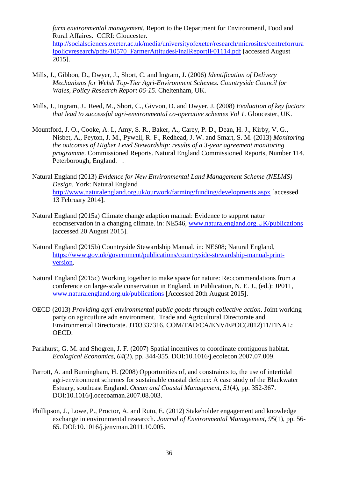*farm environmental management.* Report to the Department for Environmentl, Food and Rural Affaires. CCRI: Gloucester. [http://socialsciences.exeter.ac.uk/media/universityofexeter/research/microsites/centreforrura](http://socialsciences.exeter.ac.uk/media/universityofexeter/research/microsites/centreforruralpolicyresearch/pdfs/10570_FarmerAttitudesFinalReportIF01114.pdf)

[lpolicyresearch/pdfs/10570\\_FarmerAttitudesFinalReportIF01114.pdf](http://socialsciences.exeter.ac.uk/media/universityofexeter/research/microsites/centreforruralpolicyresearch/pdfs/10570_FarmerAttitudesFinalReportIF01114.pdf) [accessed August 2015].

- <span id="page-36-2"></span>Mills, J., Gibbon, D., Dwyer, J., Short, C. and Ingram, J. (2006) *Identification of Delivery Mechanisms for Welsh Top-Tier Agri-Environment Schemes. Countryside Council for Wales, Policy Research Report 06-15*. Cheltenham, UK.
- <span id="page-36-3"></span>Mills, J., Ingram, J., Reed, M., Short, C., Givvon, D. and Dwyer, J. (2008) *Evaluation of key factors that lead to successful agri-environmental co-operative schemes Vol 1*. Gloucester, UK.
- <span id="page-36-9"></span>Mountford, J. O., Cooke, A. I., Amy, S. R., Baker, A., Carey, P. D., Dean, H. J., Kirby, V. G., Nisbet, A., Peyton, J. M., Pywell, R. F., Redhead, J. W. and Smart, S. M. (2013) *Monitoring the outcomes of Higher Level Stewardship: results of a 3-year agreement monitoring programme*. Commissioned Reports. Natural England Commissioned Reports, Number 114. Peterborough, England. .
- <span id="page-36-6"></span>Natural England (2013) *Evidence for New Environmental Land Management Scheme (NELMS) Design*. York: Natural England <http://www.naturalengland.org.uk/ourwork/farming/funding/developments.aspx> [accessed 13 February 2014].
- <span id="page-36-4"></span>Natural England (2015a) Climate change adaption manual: Evidence to supprot natur ecocnservation in a changing climate. in: NE546, [www.naturalengland.org.UK/publications](http://www.naturalengland.org.uk/publications) [accessed 20 August 2015].
- <span id="page-36-5"></span>Natural England (2015b) Countryside Stewardship Manual. in: NE608; Natural England, [https://www.gov.uk/government/publications/countryside-stewardship-manual-print](https://www.gov.uk/government/publications/countryside-stewardship-manual-print-version)[version.](https://www.gov.uk/government/publications/countryside-stewardship-manual-print-version)
- <span id="page-36-10"></span>Natural England (2015c) Working together to make space for nature: Reccommendations from a conference on large-scale conservation in England. in Publication, N. E. J., (ed.): JP011, [www.naturalengland.org.uk/publications](http://www.naturalengland.org.uk/publications) [Accessed 20th August 2015].
- <span id="page-36-0"></span>OECD (2013) *Providing agri-environmental public goods through collective action*. Joint working party on agircutlure adn environment. Trade and Agricultural Directorate and Environmental Directorate. JT03337316. COM/TAD/CA/ENV/EPOC(2012)11/FINAL: OECD.
- <span id="page-36-8"></span>Parkhurst, G. M. and Shogren, J. F. (2007) Spatial incentives to coordinate contiguous habitat. *Ecological Economics, 64*(2), pp. 344-355. DOI:10.1016/j.ecolecon.2007.07.009.
- <span id="page-36-7"></span>Parrott, A. and Burningham, H. (2008) Opportunities of, and constraints to, the use of intertidal agri-environment schemes for sustainable coastal defence: A case study of the Blackwater Estuary, southeast England. *Ocean and Coastal Management, 51*(4), pp. 352-367. DOI:10.1016/j.ocecoaman.2007.08.003.
- <span id="page-36-1"></span>Phillipson, J., Lowe, P., Proctor, A. and Ruto, E. (2012) Stakeholder engagement and knowledge exchange in environmental researcch. *Journal of Environmental Management, 95*(1), pp. 56- 65. DOI:10.1016/j.jenvman.2011.10.005.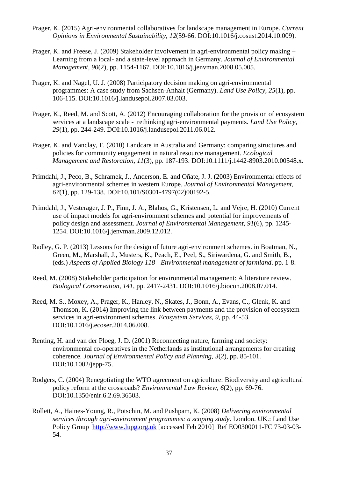- <span id="page-37-8"></span>Prager, K. (2015) Agri-environmental collaboratives for landscape management in Europe. *Current Opinions in Environmental Sustainability, 12*(59-66. DOI:10.1016/j.cosust.2014.10.009).
- <span id="page-37-1"></span>Prager, K. and Freese, J. (2009) Stakeholder involvement in agri-environmental policy making – Learning from a local- and a state-level approach in Germany. *Journal of Environmental Management, 90*(2), pp. 1154-1167. DOI:10.1016/j.jenvman.2008.05.005.
- <span id="page-37-3"></span>Prager, K. and Nagel, U. J. (2008) Participatory decision making on agri-environmental programmes: A case study from Sachsen-Anhalt (Germany). *Land Use Policy, 25*(1), pp. 106-115. DOI:10.1016/j.landusepol.2007.03.003.
- <span id="page-37-9"></span>Prager, K., Reed, M. and Scott, A. (2012) Encouraging collaboration for the provision of ecosystem services at a landscape scale - rethinking agri-environmental payments. *Land Use Policy, 29*(1), pp. 244-249. DOI:10.1016/j.landusepol.2011.06.012.
- <span id="page-37-4"></span>Prager, K. and Vanclay, F. (2010) Landcare in Australia and Germany: comparing structures and policies for community engagement in natural resource management. *Ecological Management and Restoration, 11*(3), pp. 187-193. DOI:10.1111/j.1442-8903.2010.00548.x.
- <span id="page-37-6"></span>Primdahl, J., Peco, B., Schramek, J., Anderson, E. and Oñate, J. J. (2003) Environmental effects of agri-environmental schemes in western Europe. *Journal of Environmental Management, 67*(1), pp. 129-138. DOI:10.101/S0301-4797(02)00192-5.
- <span id="page-37-7"></span>Primdahl, J., Vesterager, J. P., Finn, J. A., Blahos, G., Kristensen, L. and Vejre, H. (2010) Current use of impact models for agri-environment schemes and potential for improvements of policy design and assessment. *Journal of Environmental Management, 91*(6), pp. 1245- 1254. DOI:10.1016/j.jenvman.2009.12.012.
- <span id="page-37-0"></span>Radley, G. P. (2013) Lessons for the design of future agri-environment schemes. in Boatman, N., Green, M., Marshall, J., Musters, K., Peach, E., Peel, S., Siriwardena, G. and Smith, B., (eds.) *Aspects of Applied Biology 118 - Environmental management of farmland*. pp. 1-8.
- <span id="page-37-2"></span>Reed, M. (2008) Stakeholder participation for environmental management: A literature review. *Biological Conservation, 141*, pp. 2417-2431. DOI:10.1016/j.biocon.2008.07.014.
- <span id="page-37-12"></span>Reed, M. S., Moxey, A., Prager, K., Hanley, N., Skates, J., Bonn, A., Evans, C., Glenk, K. and Thomson, K. (2014) Improving the link between payments and the provision of ecosystem services in agri-environment schemes. *Ecosystem Services, 9*, pp. 44-53. DOI:10.1016/j.ecoser.2014.06.008.
- <span id="page-37-5"></span>Renting, H. and van der Ploeg, J. D. (2001) Reconnecting nature, farming and society: environmental co-operatives in the Netherlands as institutional arrangements for creating coherence. *Journal of Environmental Policy and Planning, 3*(2), pp. 85-101. DOI:10.1002/jepp-75.
- <span id="page-37-10"></span>Rodgers, C. (2004) Renegotiating the WTO agreement on agriculture: Biodiversity and agricultural policy reform at the crossroads? *Environmental Law Review, 6*(2), pp. 69-76. DOI:10.1350/enir.6.2.69.36503.
- <span id="page-37-11"></span>Rollett, A., Haines-Young, R., Potschin, M. and Pushpam, K. (2008) *Delivering environmental services through agri-environment programmes: a scoping study*. London. UK.: Land Use Policy Group [http://www.lupg.org.uk](http://www.lupg.org.uk/) [accessed Feb 2010] Ref EO0300011-FC 73-03-03- 54.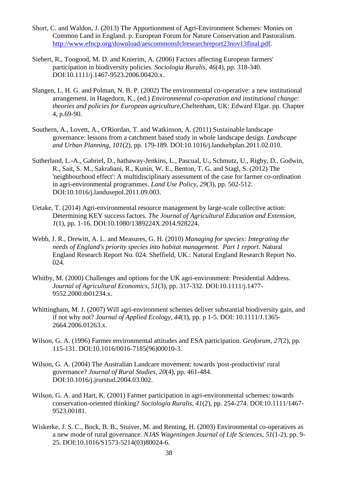- <span id="page-38-10"></span>Short, C. and Waldon, J. (2013) The Apportionment of Agri-Environment Schemes: Monies on Common Land in England. p. European Forum for Nature Conservation and Pastoralism. [http://www.efncp.org/download/aescommonsfclresearchreport23nov13final.pdf.](http://www.efncp.org/download/aescommonsfclresearchreport23nov13final.pdf)
- <span id="page-38-4"></span>Siebert, R., Toogood, M. D. and Knierim, A. (2006) Factors affecting European farmers' participation in biodiversity policies. *Sociologia Ruralis, 46*(4), pp. 318-340. DOI:10.1111/j.1467-9523.2006.00420.x.
- <span id="page-38-7"></span>Slangen, L. H. G. and Polman, N. B. P. (2002) The environmental co-operative: a new institutional arrangement. in Hagedorn, K., (ed.) *Environmental co-operation and institutional change: theories and policies for European agriculture*,Cheltenham, UK: Edward Elgar. pp. Chapter 4, p.69-90.
- <span id="page-38-9"></span>Southern, A., Lovett, A., O'Riordan, T. and Watkinson, A. (2011) Sustainable landscape governance: lessons from a catchment based study in whole landscape design. *Landscape and Urban Planning, 101*(2), pp. 179-189. DOI:10.1016/j.landurbplan.2011.02.010.
- <span id="page-38-12"></span>Sutherland, L.-A., Gabriel, D., hathaway-Jenkins, L., Pascual, U., Schmutz, U., Rigby, D., Godwin, R., Sait, S. M., Sakrabani, R., Kunin, W. E., Benton, T. G. and Stagl, S. (2012) The 'neighbourhood effect': A multidisciplinary assessment of the case for farmer co-ordination in agri-environmental programmes. *Land Use Policy, 29*(3), pp. 502-512. DOI:10.1016/j.landusepol.2011.09.003.
- <span id="page-38-11"></span>Uetake, T. (2014) Agri-environmental resource management by large-scale collective action: Determining KEY success factors. *The Journal of Agricultural Education and Extension, 1*(1), pp. 1-16. DOI:10.1080/1389224X.2014.928224.
- <span id="page-38-1"></span>Webb, J. R., Drewitt, A. L. and Measures, G. H. (2010) *Managing for species: Integrating the needs of England's priority species into habitat management. Part 1 report*. Natural England Research Report No. 024. Sheffield, UK.: Natural England Research Report No. 024.
- <span id="page-38-0"></span>Whitby, M. (2000) Challenges and options for the UK agri-environment: Presidential Address. *Journal of Agricultural Economics, 51*(3), pp. 317-332. DOI:10.1111/j.1477- 9552.2000.tb01234.x.
- <span id="page-38-2"></span>Whittingham, M. J. (2007) Will agri-environment schemes deliver substantial biodiversity gain, and if not why not? *Journal of Applied Ecology, 44*(1), pp. p 1-5. DOI: 10.1111/J.1365- 2664.2006.01263.x.
- <span id="page-38-5"></span>Wilson, G. A. (1996) Farmer environmental attitudes and ESA participation. *Geoforum, 27*(2), pp. 115-131. DOI:10.1016/0016-7185(96)00010-3.
- <span id="page-38-6"></span>Wilson, G. A. (2004) The Australian Landcare movement: towards 'post-productivist' rural governance? *Journal of Rural Studies, 20*(4), pp. 461-484. DOI:10.1016/j.jrurstud.2004.03.002.
- <span id="page-38-3"></span>Wilson, G. A. and Hart, K. (2001) Farmer participation in agri-environmental schemes: towards conservation-oriented thinking? *Sociologia Ruralis, 41*(2), pp. 254-274. DOI:10.1111/1467- 9523.00181.
- <span id="page-38-8"></span>Wiskerke, J. S. C., Bock, B. B., Stuiver, M. and Renting, H. (2003) Environmental co-operatives as a new mode of rural governance. *NJAS Wageningen Journal of Life Sciences, 51*(1-2), pp. 9- 25. DOI:10.1016/S1573-5214(03)80024-6.